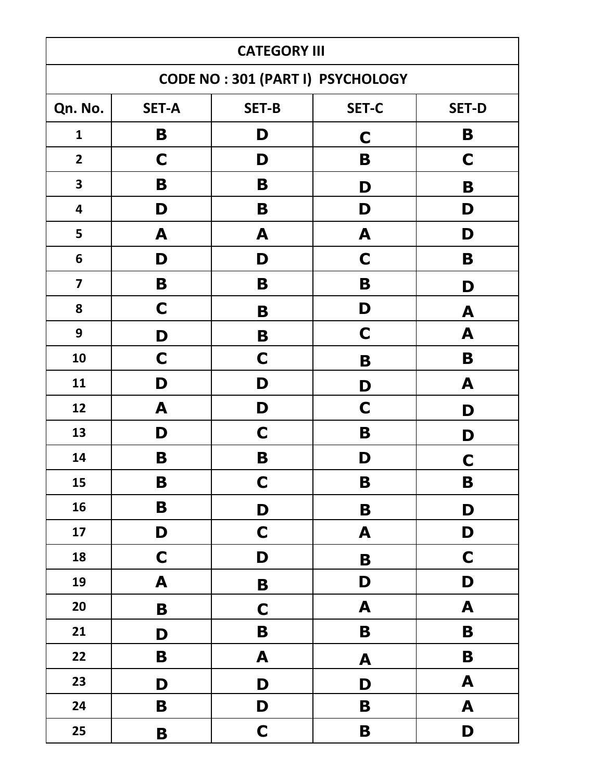|                         | <b>CATEGORY III</b> |                                         |                           |                  |  |
|-------------------------|---------------------|-----------------------------------------|---------------------------|------------------|--|
|                         |                     | <b>CODE NO: 301 (PART I) PSYCHOLOGY</b> |                           |                  |  |
| Qn. No.                 | <b>SET-A</b>        | <b>SET-B</b>                            | <b>SET-C</b>              | <b>SET-D</b>     |  |
| $\mathbf{1}$            | B                   | D                                       | C                         | B                |  |
| $\overline{2}$          | $\mathbf C$         | D                                       | B                         | C                |  |
| $\overline{\mathbf{3}}$ | B                   | B                                       | D                         | B                |  |
| $\overline{\mathbf{4}}$ | D                   | B                                       | D                         | D                |  |
| 5                       | A                   | A                                       | A                         | D                |  |
| 6                       | D                   | D                                       | $\mathbf C$               | B                |  |
| $\overline{\mathbf{z}}$ | B                   | B                                       | B                         | D                |  |
| 8                       | $\mathbf C$         | B                                       | D                         | A                |  |
| 9                       | D                   | B                                       | C                         | A                |  |
| 10                      | $\mathbf C$         | $\mathbf C$                             | B                         | B                |  |
| 11                      | D                   | D                                       | D                         | A                |  |
| 12                      | A                   | D                                       | $\mathbf C$               | D                |  |
| 13                      | D                   | $\mathbf C$                             | B                         | D                |  |
| 14                      | B                   | B                                       | D                         | $\mathbf C$      |  |
| 15                      | B                   | $\mathbf C$                             | B                         | B                |  |
| 16                      | B                   | D                                       | B                         | D                |  |
| 17                      | D                   | $\mathbf C$                             | A                         | D                |  |
| 18                      | $\mathbf C$         | D                                       | B                         | $\mathbf C$      |  |
| 19                      | A                   | $\mathbf B$                             | D                         | D                |  |
| 20                      | $\mathbf B$         | $\mathbf C$                             | $\boldsymbol{\mathsf{A}}$ | $\boldsymbol{A}$ |  |
| 21                      | D                   | $\mathbf B$                             | $\mathbf B$               | B                |  |
| 22                      | B                   | $\boldsymbol{A}$                        | $\boldsymbol{A}$          | $\mathbf B$      |  |
| 23                      | D                   | D                                       | D                         | A                |  |
| 24                      | B                   | D                                       | B                         | A                |  |
| 25                      | $\mathbf B$         | $\mathbf C$                             | $\mathbf B$               | D                |  |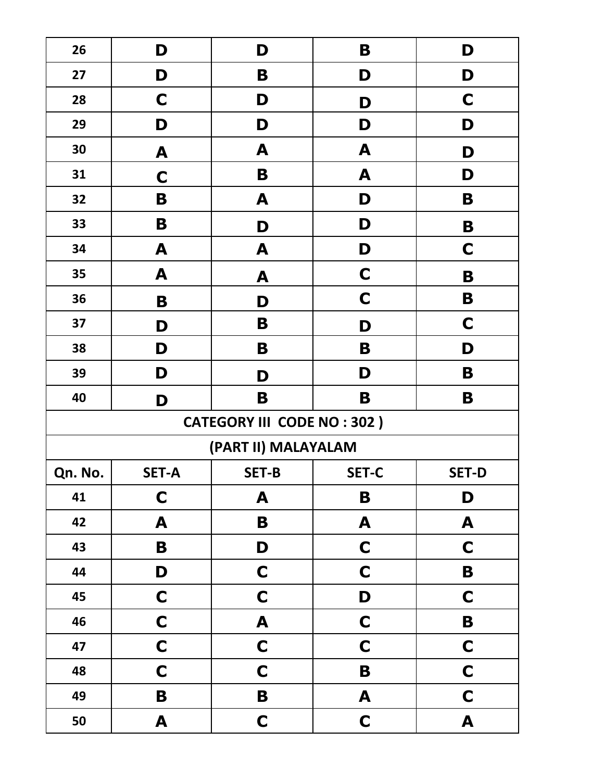| 26      | D                | D                                 | B                | D                |
|---------|------------------|-----------------------------------|------------------|------------------|
| 27      | D                | B                                 | D                | D                |
| 28      | $\mathbf C$      | D                                 | D                | $\mathbf C$      |
| 29      | D                | D                                 | D                | D                |
| 30      | A                | A                                 | A                | D                |
| 31      | $\mathbf C$      | B                                 | A                | D                |
| 32      | B                | A                                 | D                | B                |
| 33      | B                | D                                 | D                | $\mathbf B$      |
| 34      | A                | A                                 | D                | C                |
| 35      | A                | A                                 | $\mathbf C$      | B                |
| 36      | B                | D                                 | $\mathbf C$      | B                |
| 37      | D                | B                                 | D                | C                |
| 38      | D                | B                                 | B                | D                |
| 39      | D                | D                                 | D                | B                |
| 40      | D                | B                                 | B                | B                |
|         |                  | <b>CATEGORY III CODE NO: 302)</b> |                  |                  |
|         |                  | (PART II) MALAYALAM               |                  |                  |
| Qn. No. | <b>SET-A</b>     | SET-B                             | <b>SET-C</b>     | <b>SET-D</b>     |
| 41      | $\mathbf C$      | A                                 | B                | D                |
| 42      | $\boldsymbol{A}$ | $\mathbf B$                       | $\boldsymbol{A}$ | $\boldsymbol{A}$ |
| 43      | $\mathbf B$      | D                                 | $\mathbf C$      | $\mathbf C$      |
| 44      | D                | $\mathbf C$                       | $\mathbf C$      | $\mathbf B$      |
| 45      | $\mathbf C$      | $\mathbf C$                       | D                | $\mathbf C$      |
| 46      | $\mathbf C$      | $\mathbf{A}$                      | $\mathbf C$      | $\mathbf B$      |
| 47      | $\mathbf C$      | $\mathbf C$                       | $\mathbf C$      | $\mathbf C$      |
| 48      | $\mathbf C$      | $\mathbf C$                       | $\mathbf B$      | $\mathbf C$      |
| 49      | $\mathbf B$      | $\mathbf B$                       | A                | $\mathbf C$      |
|         |                  |                                   |                  |                  |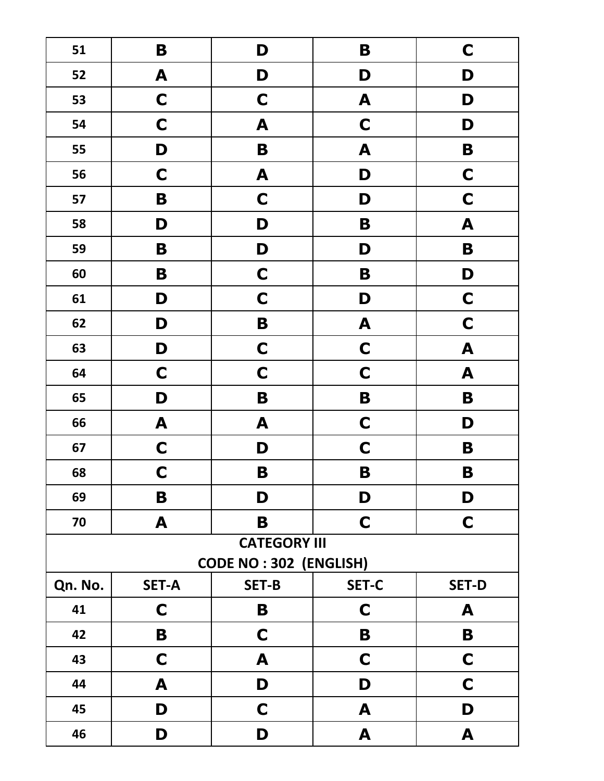| 51      | B            | D                             | B            | $\mathbf C$      |
|---------|--------------|-------------------------------|--------------|------------------|
| 52      | A            | D                             | D            | D                |
| 53      | $\mathbf C$  | $\mathbf C$                   | A            | D                |
| 54      | $\mathbf C$  | A                             | $\mathbf C$  | D                |
| 55      | D            | B                             | A            | B                |
| 56      | $\mathbf C$  | $\boldsymbol{A}$              | D            | $\mathbf C$      |
| 57      | $\mathbf B$  | $\mathbf C$                   | D            | $\mathbf C$      |
| 58      | D            | D                             | B            | A                |
| 59      | $\mathbf B$  | D                             | D            | $\mathbf B$      |
| 60      | $\mathbf B$  | $\mathbf C$                   | B            | D                |
| 61      | D            | $\mathbf C$                   | D            | $\mathbf C$      |
| 62      | D            | $\mathbf B$                   | A            | $\mathbf C$      |
| 63      | D            | $\mathbf C$                   | $\mathbf C$  | A                |
| 64      | $\mathbf C$  | $\mathbf C$                   | $\mathbf C$  | $\boldsymbol{A}$ |
| 65      | D            | $\mathbf B$                   | B            | $\mathbf B$      |
| 66      | $\mathbf A$  | A                             | $\mathbf C$  | D                |
| 67      | $\mathbf C$  | D                             | $\mathbf C$  | B                |
| 68      | $\mathbf C$  | B                             | B            | $\mathbf B$      |
| 69      | B            | D                             | D            | D                |
| 70      | A            | B                             | $\mathbf C$  | C                |
|         |              | <b>CATEGORY III</b>           |              |                  |
|         |              | <b>CODE NO: 302 (ENGLISH)</b> |              |                  |
| Qn. No. | <b>SET-A</b> | <b>SET-B</b>                  | <b>SET-C</b> | <b>SET-D</b>     |
| 41      | C            | B                             | C            | A                |
| 42      | B            | $\mathbf C$                   | B            | B                |
| 43      | $\mathbf C$  | A                             | $\mathbf C$  | $\mathbf C$      |
| 44      | A            | D                             | D            | $\mathbf C$      |
| 45      | D            | C                             | A            | D                |
| 46      | D            | D                             | A            | A                |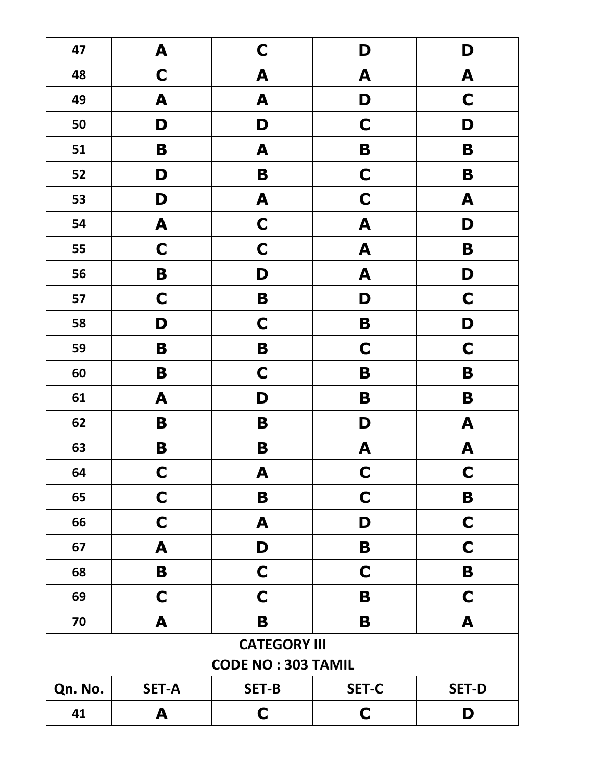| 47                                               | $\boldsymbol{\mathsf{A}}$ | $\mathbf C$      | D                | D                |
|--------------------------------------------------|---------------------------|------------------|------------------|------------------|
| 48                                               | $\mathbf C$               | A                | A                | A                |
| 49                                               | A                         | A                | D                | $\mathbf C$      |
| 50                                               | D                         | D                | $\mathbf C$      | D                |
| 51                                               | B                         | A                | $\mathbf B$      | $\mathbf B$      |
| 52                                               | D                         | B                | $\mathbf C$      | B                |
| 53                                               | D                         | $\blacktriangle$ | $\mathbf C$      | $\boldsymbol{A}$ |
| 54                                               | $\pmb{\mathsf{A}}$        | $\mathbf C$      | $\boldsymbol{A}$ | D                |
| 55                                               | $\mathbf C$               | $\mathbf C$      | $\boldsymbol{A}$ | $\mathbf B$      |
| 56                                               | $\mathbf B$               | D                | $\blacktriangle$ | D                |
| 57                                               | $\mathbf C$               | $\mathbf B$      | D                | $\mathbf C$      |
| 58                                               | D                         | $\mathbf C$      | B                | D                |
| 59                                               | $\mathbf B$               | $\mathbf B$      | $\mathbf C$      | $\mathbf C$      |
| 60                                               | B                         | $\mathbf C$      | $\mathbf B$      | $\mathbf B$      |
| 61                                               | A                         | D                | B                | $\mathbf B$      |
| 62                                               | B                         | B                | D                | $\boldsymbol{A}$ |
| 63                                               | B                         | B                | $\blacktriangle$ | $\blacktriangle$ |
| 64                                               | $\mathbf C$               | A                | $\mathbf C$      | $\mathbf C$      |
| 65                                               | $\mathbf C$               | B                | $\mathbf C$      | B                |
| 66                                               | C                         | A                | D                | C                |
| 67                                               | A                         | D                | B                | $\mathbf C$      |
| 68                                               | B                         | $\mathbf C$      | $\mathbf C$      | B                |
| 69                                               | $\mathbf C$               | $\mathbf C$      | B                | C                |
| 70                                               | A                         | B                | B                | A                |
| <b>CATEGORY III</b><br><b>CODE NO: 303 TAMIL</b> |                           |                  |                  |                  |
| Qn. No.                                          | <b>SET-A</b>              | <b>SET-B</b>     | <b>SET-C</b>     | <b>SET-D</b>     |
| 41                                               | A                         | $\mathbf C$      | $\mathbf C$      | D                |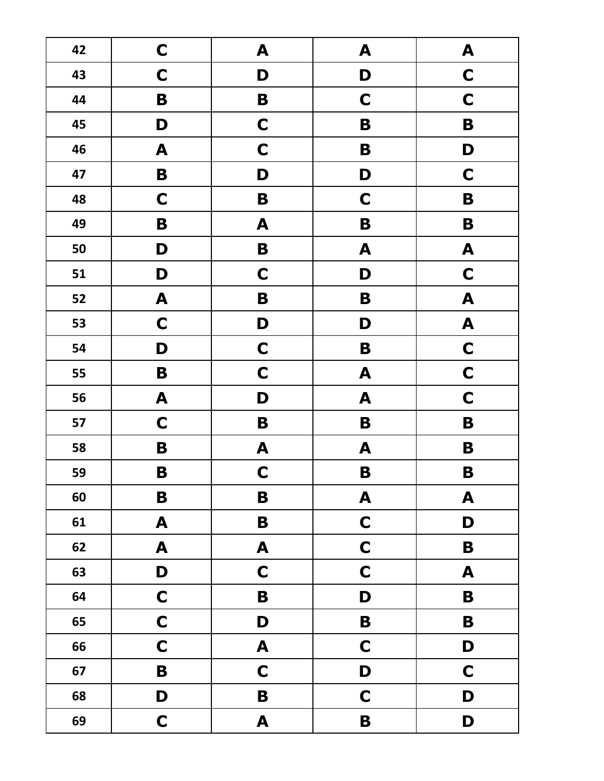| 42 | $\mathbf C$      | A                | $\boldsymbol{\mathsf{A}}$ | $\mathbf{A}$              |
|----|------------------|------------------|---------------------------|---------------------------|
| 43 | $\mathbf C$      | D                | D                         | $\mathbf C$               |
| 44 | $\mathbf B$      | $\mathbf B$      | $\mathbf C$               | $\mathbf C$               |
| 45 | D                | $\mathbf C$      | $\mathbf B$               | $\mathbf B$               |
| 46 | A                | $\mathbf C$      | B                         | D                         |
| 47 | B                | D                | D                         | $\mathbf C$               |
| 48 | $\mathbf C$      | $\mathbf B$      | $\mathbf C$               | B                         |
| 49 | $\mathbf B$      | $\boldsymbol{A}$ | $\mathbf B$               | B                         |
| 50 | D                | $\mathbf B$      | $\blacktriangle$          | $\mathbf{A}$              |
| 51 | D                | $\mathbf C$      | D                         | $\mathbf C$               |
| 52 | $\boldsymbol{A}$ | $\mathbf B$      | $\mathbf B$               | $\boldsymbol{A}$          |
| 53 | $\mathbf C$      | D                | D                         | $\boldsymbol{\mathsf{A}}$ |
| 54 | D                | $\mathbf C$      | $\mathbf B$               | $\mathbf C$               |
| 55 | $\mathbf B$      | $\mathbf C$      | A                         | $\mathbf C$               |
| 56 | A                | D                | A                         | $\mathbf C$               |
| 57 | $\mathbf C$      | B                | B                         | $\mathbf B$               |
| 58 | B                | $\boldsymbol{A}$ | A                         | B                         |
| 59 | $\mathbf B$      | $\mathbf C$      | B                         | B                         |
| 60 | $\mathbf B$      | B                | A                         | A                         |
| 61 | A                | B                | $\mathbf C$               | D                         |
| 62 | $\boldsymbol{A}$ | A                | $\mathbf C$               | $\mathbf B$               |
| 63 | D                | $\mathbf C$      | $\mathbf C$               | $\boldsymbol{A}$          |
| 64 | $\mathbf C$      | $\mathbf B$      | D                         | $\mathbf B$               |
| 65 | $\mathbf C$      | D                | $\mathbf B$               | $\mathbf B$               |
| 66 | $\mathbf C$      | $\blacktriangle$ | $\mathbf C$               | D                         |
| 67 | $\mathbf B$      | $\mathbf C$      | D                         | $\mathbf C$               |
| 68 | D                | $\mathbf B$      | $\mathbf C$               | D                         |
| 69 | $\mathbf C$      | A                | B                         | D                         |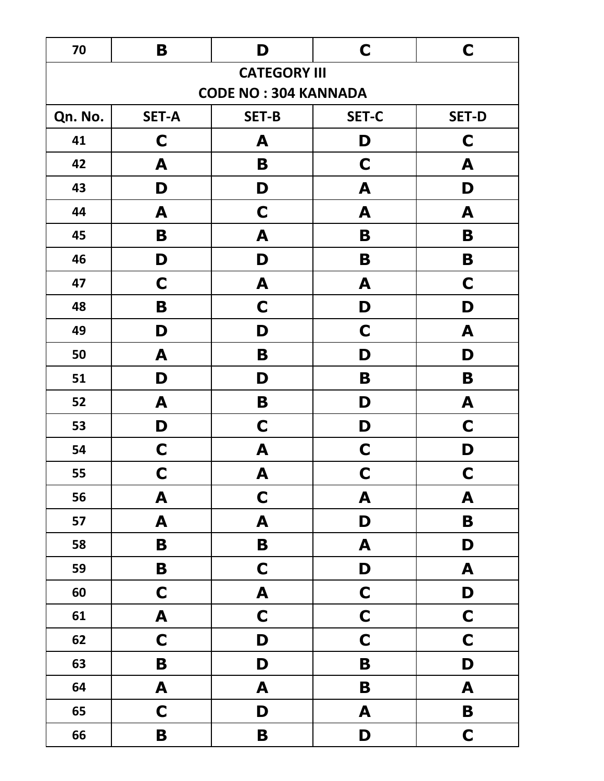| 70      | B                   | D                           | $\mathbf C$  | $\mathbf C$  |  |  |  |
|---------|---------------------|-----------------------------|--------------|--------------|--|--|--|
|         | <b>CATEGORY III</b> |                             |              |              |  |  |  |
|         |                     | <b>CODE NO: 304 KANNADA</b> |              |              |  |  |  |
| Qn. No. | <b>SET-A</b>        | <b>SET-B</b>                | <b>SET-C</b> | <b>SET-D</b> |  |  |  |
| 41      | $\mathbf C$         | A                           | D            | $\mathbf C$  |  |  |  |
| 42      | A                   | B                           | $\mathbf C$  | A            |  |  |  |
| 43      | D                   | D                           | A            | D            |  |  |  |
| 44      | A                   | $\mathbf C$                 | A            | A            |  |  |  |
| 45      | B                   | A                           | B            | B            |  |  |  |
| 46      | D                   | D                           | B            | B            |  |  |  |
| 47      | $\mathbf C$         | A                           | A            | C            |  |  |  |
| 48      | B                   | $\mathbf C$                 | D            | D            |  |  |  |
| 49      | D                   | D                           | C            | A            |  |  |  |
| 50      | A                   | B                           | D            | D            |  |  |  |
| 51      | D                   | D                           | B            | B            |  |  |  |
| 52      | A                   | B                           | D            | A            |  |  |  |
| 53      | D                   | $\mathbf C$                 | D            | C            |  |  |  |
| 54      | $\mathbf C$         | A                           | $\mathbf C$  | D            |  |  |  |
| 55      | $\mathbf C$         | A                           | $\mathbf C$  | $\mathbf C$  |  |  |  |
| 56      | A                   | $\mathbf C$                 | A            | A            |  |  |  |
| 57      | A                   | A                           | D            | $\mathbf B$  |  |  |  |
| 58      | B                   | B                           | A            | D            |  |  |  |
| 59      | $\mathbf B$         | $\mathbf C$                 | D            | A            |  |  |  |
| 60      | $\mathbf C$         | A                           | $\mathbf C$  | D            |  |  |  |
| 61      | A                   | $\mathbf C$                 | $\mathbf C$  | $\mathbf C$  |  |  |  |
| 62      | $\mathbf C$         | D                           | $\mathbf C$  | $\mathbf C$  |  |  |  |
| 63      | $\mathbf B$         | D                           | B            | D            |  |  |  |
| 64      | A                   | A                           | B            | A            |  |  |  |
| 65      | $\mathbf C$         | D                           | A            | B            |  |  |  |
| 66      | B                   | B                           | D            | $\mathbf C$  |  |  |  |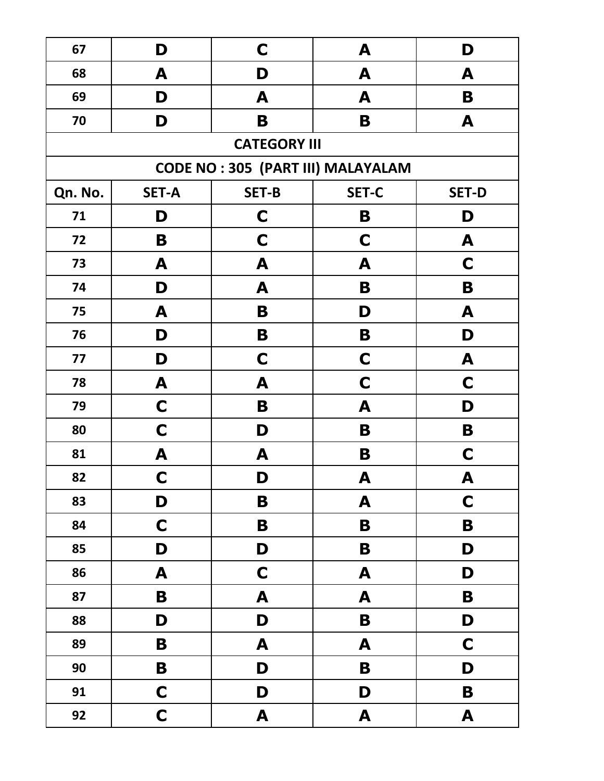| 67      | D                   | $\mathbf C$                              | A                | D                |  |  |  |
|---------|---------------------|------------------------------------------|------------------|------------------|--|--|--|
| 68      | A                   | D                                        | A                | A                |  |  |  |
| 69      | D                   | A                                        | A                | Β                |  |  |  |
| 70      | D                   | B                                        | B                | A                |  |  |  |
|         | <b>CATEGORY III</b> |                                          |                  |                  |  |  |  |
|         |                     | <b>CODE NO: 305 (PART III) MALAYALAM</b> |                  |                  |  |  |  |
| Qn. No. | <b>SET-A</b>        | <b>SET-B</b>                             | <b>SET-C</b>     | <b>SET-D</b>     |  |  |  |
| 71      | D                   | $\mathbf C$                              | B                | D                |  |  |  |
| 72      | B                   | $\mathbf C$                              | $\mathbf C$      | A                |  |  |  |
| 73      | A                   | A                                        | A                | C                |  |  |  |
| 74      | D                   | A                                        | B                | B                |  |  |  |
| 75      | A                   | B                                        | D                | A                |  |  |  |
| 76      | D                   | B                                        | B                | D                |  |  |  |
| 77      | D                   | C                                        | $\mathbf C$      | A                |  |  |  |
| 78      | A                   | A                                        | $\mathbf C$      | C                |  |  |  |
| 79      | C                   | B                                        | A                | D                |  |  |  |
| 80      | C                   | D                                        | B                | B                |  |  |  |
| 81      | A                   | A                                        | B                | C                |  |  |  |
| 82      | $\mathbf C$         | D                                        | A                | A                |  |  |  |
| 83      | D                   | $\mathbf B$                              | $\blacktriangle$ | $\mathbf C$      |  |  |  |
| 84      | $\mathbf C$         | $\mathbf B$                              | $\mathbf B$      | $\mathbf B$      |  |  |  |
| 85      | D                   | D                                        | $\mathbf B$      | D                |  |  |  |
| 86      | A                   | $\mathbf C$                              | A                | D                |  |  |  |
| 87      | $\mathbf B$         | A                                        | A                | $\mathbf B$      |  |  |  |
| 88      | D                   | D                                        | $\mathbf B$      | D                |  |  |  |
| 89      | $\mathbf B$         | A                                        | A                | $\mathbf C$      |  |  |  |
| 90      | $\mathbf B$         | D                                        | $\mathbf B$      | D                |  |  |  |
| 91      | $\mathbf C$         | D                                        | D                | $\mathbf B$      |  |  |  |
| 92      | $\mathbf C$         | A                                        | A                | $\blacktriangle$ |  |  |  |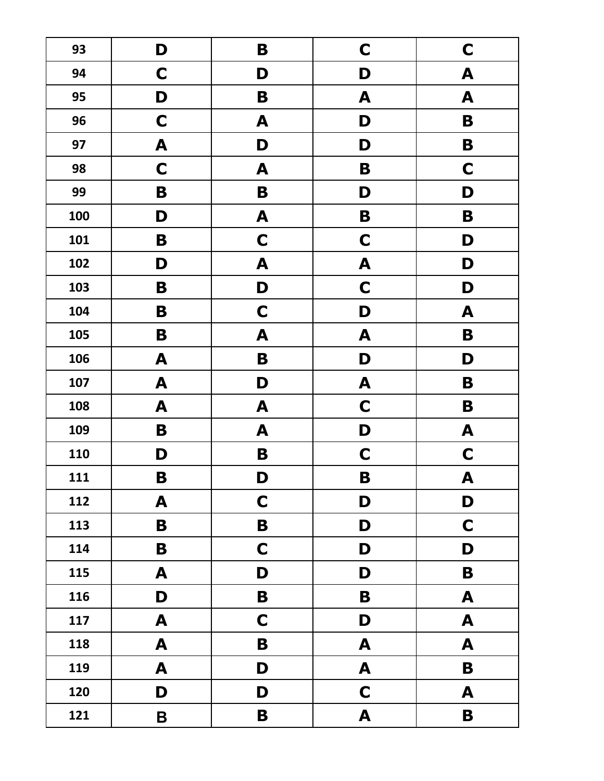| 93  | D                       | B           | $\mathbf C$               | $\mathbf C$      |
|-----|-------------------------|-------------|---------------------------|------------------|
| 94  | $\mathbf C$             | D           | D                         | A                |
| 95  | D                       | B           | A                         | A                |
| 96  | $\mathbf C$             | A           | D                         | B                |
| 97  | A                       | D           | D                         | B                |
| 98  | $\mathbf C$             | A           | B                         | $\mathbf C$      |
| 99  | B                       | B           | D                         | D                |
| 100 | D                       | A           | B                         | B                |
| 101 | B                       | $\mathbf C$ | $\mathbf C$               | D                |
| 102 | D                       | A           | A                         | D                |
| 103 | B                       | D           | $\mathbf C$               | D                |
| 104 | B                       | $\mathbf C$ | D                         | A                |
| 105 | $\mathbf B$             | A           | A                         | $\mathbf B$      |
| 106 | A                       | B           | D                         | D                |
| 107 | A                       | D           | A                         | B                |
| 108 | A                       | A           | $\mathbf C$               | B                |
| 109 | $\mathbf B$             | A           | D                         | A                |
| 110 | D                       | B           | $\mathbf C$               | $\mathbf C$      |
| 111 | B                       | D           | B                         | A                |
| 112 | A                       | $\mathbf C$ | D                         | D                |
| 113 | B                       | $\mathbf B$ | D                         | $\mathbf C$      |
| 114 | $\mathbf B$             | $\mathbf C$ | D                         | D                |
| 115 | A                       | D           | D                         | B                |
| 116 | D                       | $\mathbf B$ | B                         | $\blacktriangle$ |
| 117 | A                       | $\mathbf C$ | D                         | $\blacktriangle$ |
| 118 | A                       | $\mathbf B$ | A                         | $\blacktriangle$ |
| 119 | A                       | D           | A                         | $\mathbf B$      |
| 120 | D                       | D           | $\mathbf C$               | $\blacktriangle$ |
| 121 | $\overline{\mathbf{B}}$ | $\mathbf B$ | $\boldsymbol{\mathsf{A}}$ | $\mathbf B$      |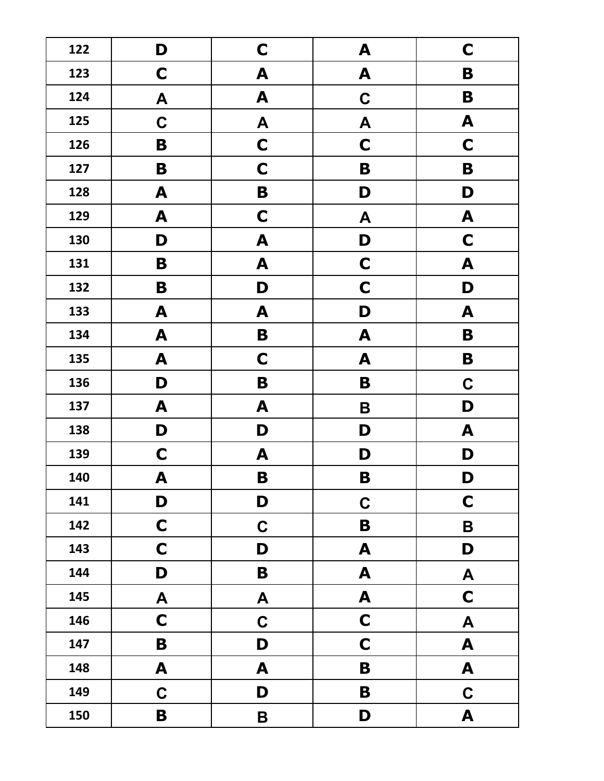| 122 | D                | $\mathbf C$        | A           | $\mathbf C$               |
|-----|------------------|--------------------|-------------|---------------------------|
| 123 | $\mathbf C$      | A                  | A           | B                         |
| 124 | A                | A                  | $\mathbf C$ | B                         |
| 125 | $\mathbf C$      | A                  | A           | A                         |
| 126 | B                | $\mathbf C$        | $\mathbf C$ | $\mathbf C$               |
| 127 | B                | $\mathbf C$        | B           | B                         |
| 128 | A                | $\mathbf B$        | D           | D                         |
| 129 | A                | $\mathbf C$        | A           | A                         |
| 130 | D                | A                  | D           | $\mathbf C$               |
| 131 | B                | A                  | $\mathbf C$ | A                         |
| 132 | B                | D                  | $\mathbf C$ | D                         |
| 133 | A                | A                  | D           | A                         |
| 134 | A                | B                  | A           | B                         |
| 135 | A                | $\mathbf C$        | A           | B                         |
| 136 | D                | B                  | B           | $\mathbf C$               |
| 137 | A                | A                  | B           | D                         |
| 138 | D                | D                  | D           | A                         |
| 139 | $\mathbf C$      | A                  | D           | D                         |
| 140 | A                | B                  | B           | D                         |
| 141 | D                | D                  | $\mathbf C$ | $\mathbf C$               |
| 142 | $\mathbf C$      | $\mathbf C$        | B           | $\pmb{\mathsf{B}}$        |
| 143 | $\mathbf C$      | D                  | A           | D                         |
| 144 | D                | $\mathbf B$        | A           | $\boldsymbol{\mathsf{A}}$ |
| 145 | $\boldsymbol{A}$ | $\boldsymbol{A}$   | A           | $\mathbf C$               |
| 146 | $\mathbf C$      | $\mathbf C$        | $\mathbf C$ | $\blacktriangle$          |
| 147 | $\mathbf B$      | D                  | $\mathbf C$ | $\blacktriangle$          |
| 148 | A                | A                  | $\mathbf B$ | $\blacktriangle$          |
| 149 | $\mathbf C$      | D                  | B           | $\mathbf C$               |
| 150 | $\mathbf B$      | $\pmb{\mathsf{B}}$ | D           | $\mathbf{A}$              |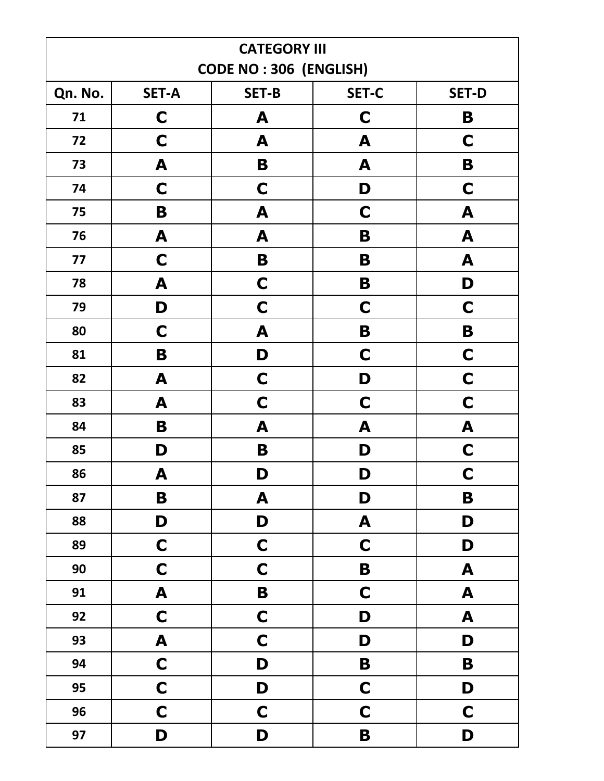|         | <b>CATEGORY III</b> |                               |              |                  |  |
|---------|---------------------|-------------------------------|--------------|------------------|--|
|         |                     | <b>CODE NO: 306 (ENGLISH)</b> |              |                  |  |
| Qn. No. | <b>SET-A</b>        | <b>SET-B</b>                  | <b>SET-C</b> | <b>SET-D</b>     |  |
| 71      | C                   | A                             | C            | B                |  |
| 72      | $\mathbf C$         | A                             | A            | C                |  |
| 73      | A                   | B                             | A            | B                |  |
| 74      | C                   | $\mathbf C$                   | D            | $\mathbf C$      |  |
| 75      | B                   | A                             | C            | A                |  |
| 76      | A                   | A                             | B            | A                |  |
| 77      | C                   | B                             | B            | A                |  |
| 78      | A                   | $\mathbf C$                   | B            | D                |  |
| 79      | D                   | $\mathbf C$                   | C            | C                |  |
| 80      | C                   | A                             | B            | B                |  |
| 81      | B                   | D                             | C            | $\mathbf C$      |  |
| 82      | A                   | $\mathbf C$                   | D            | $\mathbf C$      |  |
| 83      | A                   | $\mathbf C$                   | $\mathbf C$  | $\mathbf C$      |  |
| 84      | B                   | A                             | A            | A                |  |
| 85      | D                   | B                             | D            | C                |  |
| 86      | A                   | D                             | D            | C                |  |
| 87      | B                   | A                             | D            | B                |  |
| 88      | D                   | D                             | A            | D                |  |
| 89      | $\mathbf C$         | $\mathbf C$                   | $\mathbf C$  | D                |  |
| 90      | $\mathbf C$         | $\mathbf C$                   | $\mathbf B$  | $\boldsymbol{A}$ |  |
| 91      | $\blacktriangle$    | $\mathbf B$                   | $\mathbf C$  | $\boldsymbol{A}$ |  |
| 92      | $\mathbf C$         | $\mathbf C$                   | D            | $\boldsymbol{A}$ |  |
| 93      | A                   | $\mathbf C$                   | D            | D                |  |
| 94      | $\mathbf C$         | D                             | B            | $\mathbf B$      |  |
| 95      | $\mathbf C$         | D                             | $\mathbf C$  | D                |  |
| 96      | $\mathbf C$         | $\mathbf C$                   | $\mathbf C$  | $\mathbf C$      |  |
| 97      | D                   | D                             | B            | D                |  |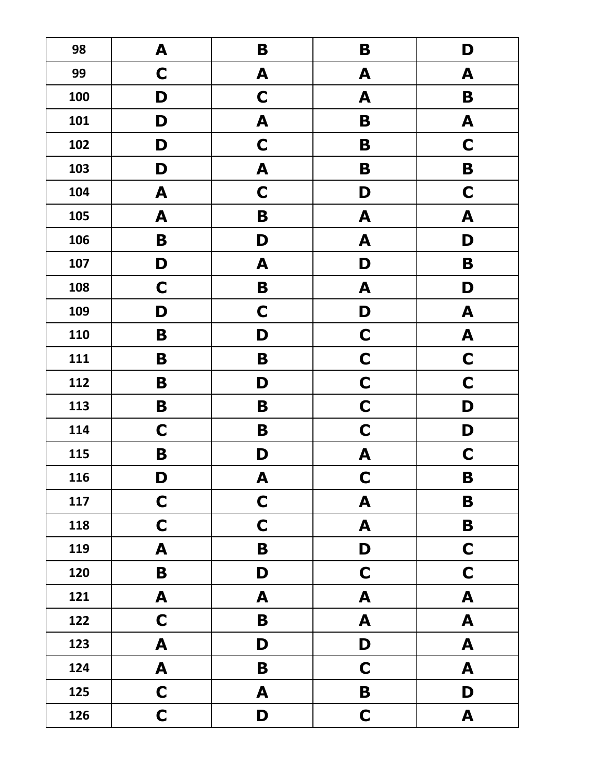| 98  | A           | B           | B           | D                |
|-----|-------------|-------------|-------------|------------------|
| 99  | $\mathbf C$ | A           | A           | A                |
| 100 | D           | $\mathbf C$ | A           | B                |
| 101 | D           | A           | B           | A                |
| 102 | D           | $\mathbf C$ | B           | $\mathbf C$      |
| 103 | D           | A           | B           | B                |
| 104 | A           | $\mathbf C$ | D           | $\mathbf C$      |
| 105 | A           | B           | A           | A                |
| 106 | B           | D           | A           | D                |
| 107 | D           | A           | D           | B                |
| 108 | $\mathbf C$ | B           | A           | D                |
| 109 | D           | $\mathbf C$ | D           | A                |
| 110 | B           | D           | $\mathbf C$ | A                |
| 111 | B           | B           | $\mathbf C$ | $\mathbf C$      |
| 112 | B           | D           | $\mathbf C$ | $\mathbf C$      |
| 113 | B           | B           | $\mathbf C$ | D                |
| 114 | $\mathbf C$ | B           | $\mathbf C$ | D                |
| 115 | B           | D           | A           | $\mathbf C$      |
| 116 | D           | A           | $\mathbf C$ | B                |
| 117 | $\mathbf C$ | $\mathbf C$ | A           | B                |
| 118 | $\mathbf C$ | $\mathbf C$ | A           | $\mathbf B$      |
| 119 | A           | $\mathbf B$ | D           | $\mathbf C$      |
| 120 | $\mathbf B$ | D           | $\mathbf C$ | $\mathbf C$      |
| 121 | A           | A           | A           | A                |
| 122 | $\mathbf C$ | $\mathbf B$ | A           | $\blacktriangle$ |
| 123 | A           | D           | D           | $\blacktriangle$ |
| 124 | A           | $\mathbf B$ | $\mathbf C$ | $\blacktriangle$ |
| 125 | $\mathbf C$ | A           | $\mathbf B$ | D                |
| 126 | $\mathbf C$ | D           | $\mathbf C$ | A                |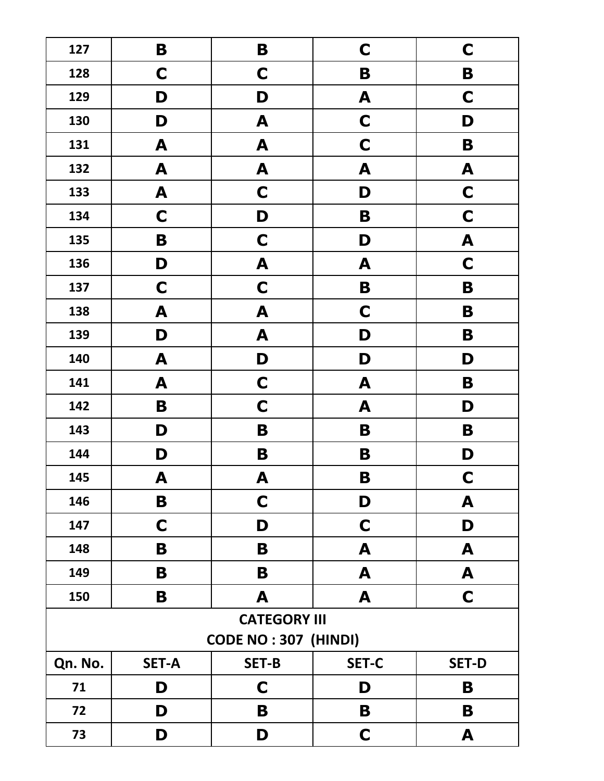| 127                 | B            | B                           | $\mathbf C$  | C                |  |
|---------------------|--------------|-----------------------------|--------------|------------------|--|
| 128                 | $\mathbf C$  | $\mathbf C$                 | B            | B                |  |
| 129                 | D            | D                           | A            | C                |  |
| 130                 | D            | A                           | $\mathbf C$  | D                |  |
| 131                 | A            | A                           | $\mathbf C$  | B                |  |
| 132                 | A            | A                           | A            | A                |  |
| 133                 | A            | $\mathbf C$                 | D            | $\mathbf C$      |  |
| 134                 | $\mathbf C$  | D                           | B            | $\mathbf C$      |  |
| 135                 | $\mathbf B$  | $\mathbf C$                 | D            | $\blacktriangle$ |  |
| 136                 | D            | A                           | A            | $\mathbf C$      |  |
| 137                 | $\mathbf C$  | $\mathbf C$                 | $\mathbf B$  | $\mathbf B$      |  |
| 138                 | A            | A                           | $\mathbf C$  | B                |  |
| 139                 | D            | A                           | D            | B                |  |
| 140                 | A            | D                           | D            | D                |  |
| 141                 | A            | $\mathbf C$                 | A            | B                |  |
| 142                 | B            | $\mathbf C$                 | A            | D                |  |
| 143                 | D            | B                           | B            | B                |  |
| 144                 | D            | B                           | B            | D                |  |
| 145                 | A            | A                           | B            | $\mathbf C$      |  |
| 146                 | B            | $\mathbf C$                 | D            | A                |  |
| 147                 | $\mathbf C$  | D                           | C            | D                |  |
| 148                 | B            | B                           | A            | A                |  |
| 149                 | B            | B                           | A            | A                |  |
| 150                 | B            | A                           | A            | $\mathbf C$      |  |
| <b>CATEGORY III</b> |              |                             |              |                  |  |
|                     |              | <b>CODE NO: 307 (HINDI)</b> |              |                  |  |
| Qn. No.             | <b>SET-A</b> | SET-B                       | <b>SET-C</b> | <b>SET-D</b>     |  |
| 71                  | D            | $\mathbf C$                 | D            | B                |  |
| 72                  | D            | B                           | B            | B                |  |
| 73                  | D            | D                           | $\mathbf C$  | A                |  |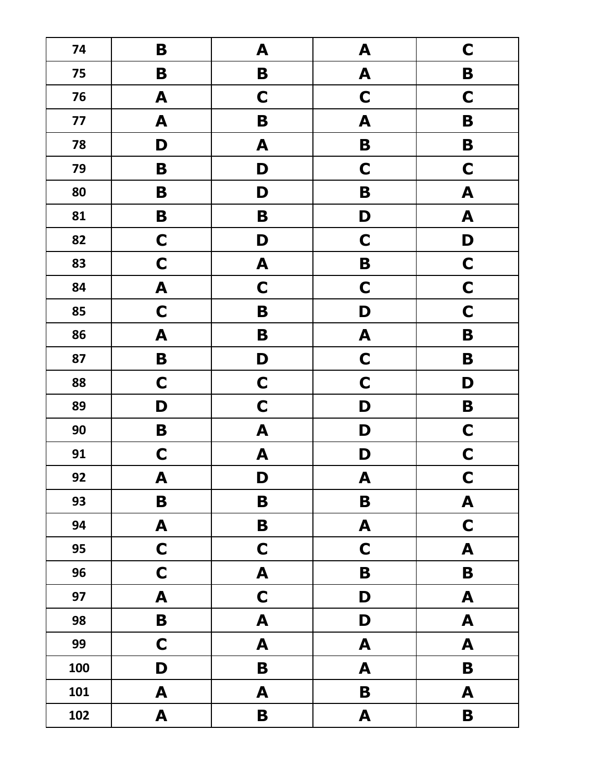| 74  | B                         | A                | A                | $\mathbf C$               |
|-----|---------------------------|------------------|------------------|---------------------------|
| 75  | B                         | $\mathbf B$      | $\boldsymbol{A}$ | $\mathbf B$               |
| 76  | A                         | $\mathbf C$      | $\mathbf C$      | $\mathbf C$               |
| 77  | A                         | $\mathbf B$      | A                | $\mathbf B$               |
| 78  | D                         | A                | $\mathbf B$      | $\mathbf B$               |
| 79  | $\mathbf B$               | D                | $\mathbf C$      | $\mathbf C$               |
| 80  | B                         | D                | B                | $\boldsymbol{A}$          |
| 81  | $\mathbf B$               | B                | D                | $\mathbf{A}$              |
| 82  | $\mathbf C$               | D                | $\mathbf C$      | D                         |
| 83  | $\mathbf C$               | $\blacktriangle$ | $\mathbf B$      | $\mathbf C$               |
| 84  | A                         | $\mathbf C$      | $\mathbf C$      | $\mathbf C$               |
| 85  | $\mathbf C$               | $\mathbf B$      | D                | $\mathbf C$               |
| 86  | A                         | B                | A                | $\mathbf B$               |
| 87  | B                         | D                | $\mathbf C$      | B                         |
| 88  | $\mathbf C$               | $\mathbf C$      | $\mathbf C$      | D                         |
| 89  | D                         | $\mathbf C$      | D                | B                         |
| 90  | B                         | A                | D                | $\mathbf C$               |
| 91  | $\mathbf C$               | A                | D                | $\mathbf C$               |
| 92  | A                         | D                | A                | $\mathbf C$               |
| 93  | B                         | B                | $\mathbf B$      | $\boldsymbol{\mathsf{A}}$ |
| 94  | A                         | B                | A                | $\mathbf C$               |
| 95  | $\mathbf C$               | $\mathbf C$      | $\mathbf C$      | $\blacktriangle$          |
| 96  | $\mathbf C$               | $\boldsymbol{A}$ | $\mathbf B$      | $\mathbf B$               |
| 97  | $\boldsymbol{A}$          | $\mathbf C$      | D                | $\blacktriangle$          |
| 98  | $\mathbf B$               | $\blacktriangle$ | D                | $\blacktriangle$          |
| 99  | $\mathbf C$               | A                | A                | $\blacktriangle$          |
| 100 | D                         | $\mathbf B$      | $\blacktriangle$ | $\mathbf B$               |
| 101 | $\blacktriangle$          | A                | $\mathbf B$      | $\blacktriangle$          |
| 102 | $\boldsymbol{\mathsf{A}}$ | $\mathbf B$      | A                | $\mathbf B$               |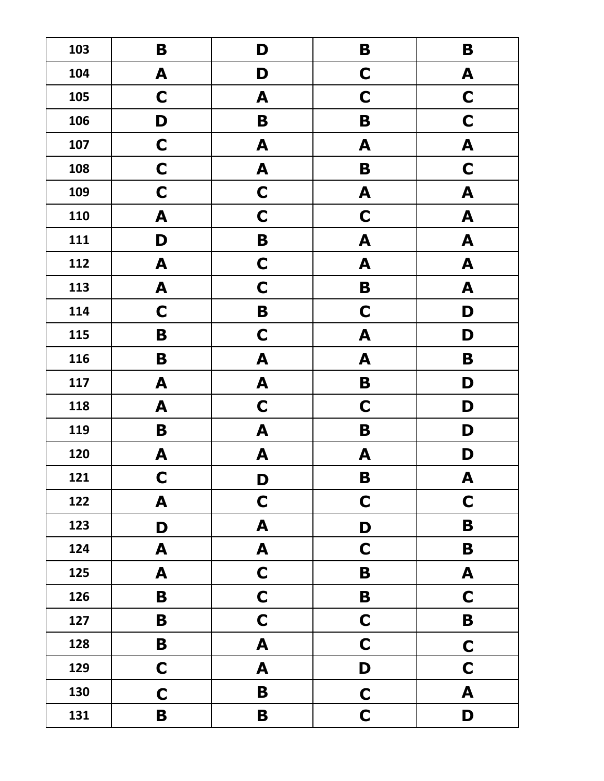| 103 | B           | D                | B                | B                |
|-----|-------------|------------------|------------------|------------------|
| 104 | A           | D                | $\mathbf C$      | A                |
| 105 | $\mathbf C$ | A                | $\mathbf C$      | $\mathbf C$      |
| 106 | D           | B                | B                | $\mathbf C$      |
| 107 | $\mathbf C$ | A                | A                | A                |
| 108 | $\mathbf C$ | A                | B                | $\mathbf C$      |
| 109 | $\mathbf C$ | $\mathbf C$      | A                | A                |
| 110 | A           | $\mathbf C$      | $\mathbf C$      | $\blacktriangle$ |
| 111 | D           | $\mathbf B$      | $\blacktriangle$ | $\blacktriangle$ |
| 112 | A           | $\mathbf C$      | $\blacktriangle$ | A                |
| 113 | A           | $\mathbf C$      | B                | A                |
| 114 | $\mathbf C$ | $\mathbf B$      | $\mathbf C$      | D                |
| 115 | B           | $\mathbf C$      | A                | D                |
| 116 | B           | A                | A                | B                |
| 117 | A           | A                | $\mathbf B$      | D                |
| 118 | A           | $\mathbf C$      | $\mathbf C$      | D                |
| 119 | B           | A                | B                | D                |
| 120 | A           | A                | A                | D                |
| 121 | $\mathbf C$ | D                | B                | A                |
| 122 | A           | $\mathbf C$      | $\mathbf C$      | $\mathbf C$      |
| 123 | D           | A                | D                | $\mathbf B$      |
| 124 | A           | A                | $\mathbf C$      | $\mathbf B$      |
| 125 | A           | $\mathbf C$      | B                | $\blacktriangle$ |
| 126 | $\mathbf B$ | $\mathbf C$      | $\mathbf B$      | $\mathbf C$      |
| 127 | $\mathbf B$ | $\mathbf C$      | $\mathbf C$      | $\mathbf B$      |
| 128 | B           | $\boldsymbol{A}$ | $\mathbf C$      | $\mathbf C$      |
| 129 | $\mathbf C$ | A                | D                | $\mathbf C$      |
| 130 | $\mathbf C$ | $\mathbf B$      | $\mathbf C$      | $\mathbf{A}$     |
| 131 | $\mathbf B$ | $\mathbf B$      | $\mathbf C$      | D                |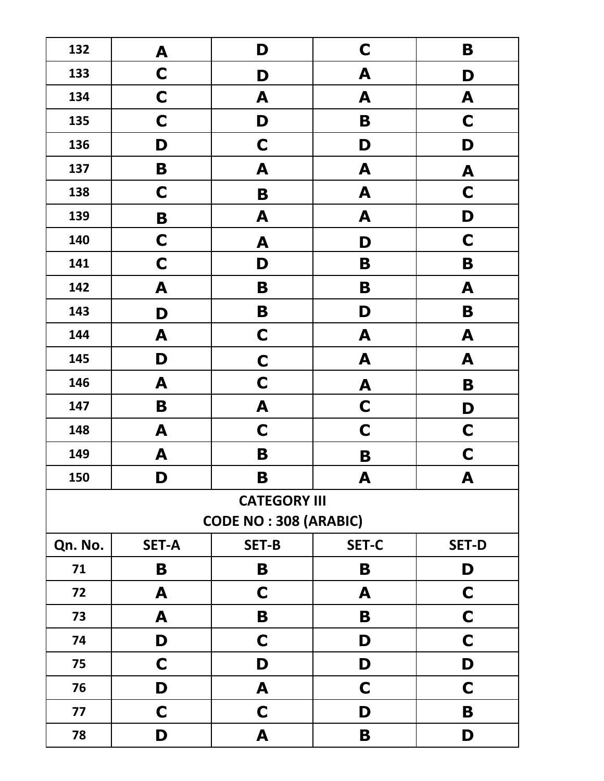| 132     | A            | D                            | $\mathbf C$  | B            |
|---------|--------------|------------------------------|--------------|--------------|
| 133     | $\mathbf C$  | D                            | A            | D            |
| 134     | $\mathbf C$  | A                            | A            | A            |
| 135     | $\mathbf C$  | D                            | B            | $\mathbf C$  |
| 136     | D            | $\mathbf C$                  | D            | D            |
| 137     | B            | A                            | A            | A            |
| 138     | $\mathbf C$  | B                            | A            | $\mathbf C$  |
| 139     | $\mathbf B$  | A                            | A            | D            |
| 140     | $\mathbf C$  | A                            | D            | C            |
| 141     | $\mathbf C$  | D                            | B            | B            |
| 142     | A            | B                            | B            | A            |
| 143     | D            | B                            | D            | B            |
| 144     | A            | $\mathbf C$                  | A            | A            |
| 145     | D            | $\mathbf C$                  | A            | A            |
| 146     | A            | $\mathbf C$                  | A            | B            |
| 147     | B            | A                            | C            | D            |
| 148     | A            | C                            | $\mathbf C$  | $\mathbf C$  |
| 149     | A            | B                            | B            | $\mathbf C$  |
| 150     | D            | B                            | A            | A            |
|         |              | <b>CATEGORY III</b>          |              |              |
|         |              | <b>CODE NO: 308 (ARABIC)</b> |              |              |
| Qn. No. | <b>SET-A</b> | <b>SET-B</b>                 | <b>SET-C</b> | <b>SET-D</b> |
| 71      | B            | B                            | B            | D            |
| 72      | A            | $\mathsf{C}$                 | A            | C            |
| 73      | A            | B                            | B            | $\mathbf C$  |
| 74      | D            | $\mathsf{C}$                 | D            | $\mathbf C$  |
| 75      | C            | D                            | D            | D            |
| 76      | D            | A                            | $\mathbf C$  | $\mathbf C$  |
| 77      | $\mathbf C$  | $\mathbf C$                  | D            | B            |
| 78      | D            | A                            | B            | D            |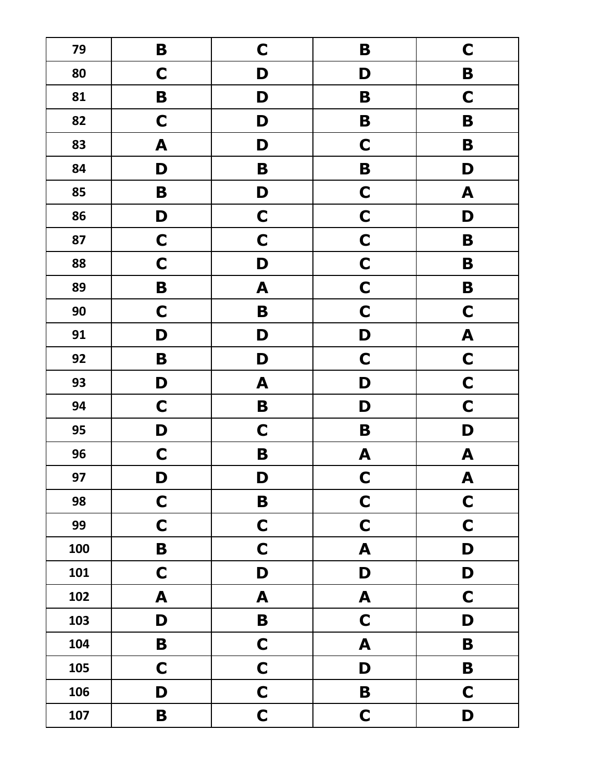| 79  | $\mathbf B$               | $\mathbf C$      | $\mathbf B$      | $\mathbf C$      |
|-----|---------------------------|------------------|------------------|------------------|
| 80  | $\mathbf C$               | D                | D                | $\mathbf B$      |
| 81  | $\mathbf B$               | D                | B                | $\mathbf C$      |
| 82  | $\mathbf C$               | D                | $\mathbf B$      | $\mathbf B$      |
| 83  | $\boldsymbol{A}$          | D                | $\mathbf C$      | B                |
| 84  | D                         | B                | B                | D                |
| 85  | $\mathbf B$               | D                | $\mathbf C$      | A                |
| 86  | D                         | $\mathbf C$      | $\mathbf C$      | D                |
| 87  | $\mathbf C$               | $\mathbf C$      | $\mathbf C$      | $\mathbf B$      |
| 88  | $\mathbf C$               | D                | $\mathbf C$      | $\mathbf B$      |
| 89  | $\mathbf B$               | $\boldsymbol{A}$ | $\mathbf C$      | $\mathbf B$      |
| 90  | $\mathbf C$               | $\mathbf B$      | $\mathbf C$      | $\mathbf C$      |
| 91  | D                         | D                | D                | $\boldsymbol{A}$ |
| 92  | B                         | D                | $\mathbf C$      | $\mathbf C$      |
| 93  | D                         | A                | D                | $\mathbf C$      |
| 94  | $\mathbf C$               | B                | D                | $\mathbf C$      |
| 95  | D                         | $\mathbf C$      | B                | D                |
| 96  | $\mathbf C$               | B                | A                | $\boldsymbol{A}$ |
| 97  | D                         | D                | $\mathbf C$      | A                |
| 98  | $\mathbf C$               | B                | $\mathbf C$      | $\mathbf C$      |
| 99  | $\mathbf C$               | $\mathbf C$      | $\mathbf C$      | $\mathbf C$      |
| 100 | $\mathbf B$               | $\mathbf C$      | $\boldsymbol{A}$ | D                |
| 101 | $\mathbf C$               | D                | D                | D                |
| 102 | $\boldsymbol{\mathsf{A}}$ | A                | A                | $\mathbf C$      |
| 103 | D                         | B                | $\mathbf C$      | D                |
| 104 | $\mathbf B$               | $\mathbf C$      | $\boldsymbol{A}$ | $\mathbf B$      |
| 105 | $\mathbf C$               | $\mathbf C$      | D                | $\mathbf B$      |
| 106 | D                         | $\mathbf C$      | $\mathbf B$      | $\mathbf C$      |
| 107 | $\mathbf B$               | $\mathbf C$      | $\mathbf C$      | D                |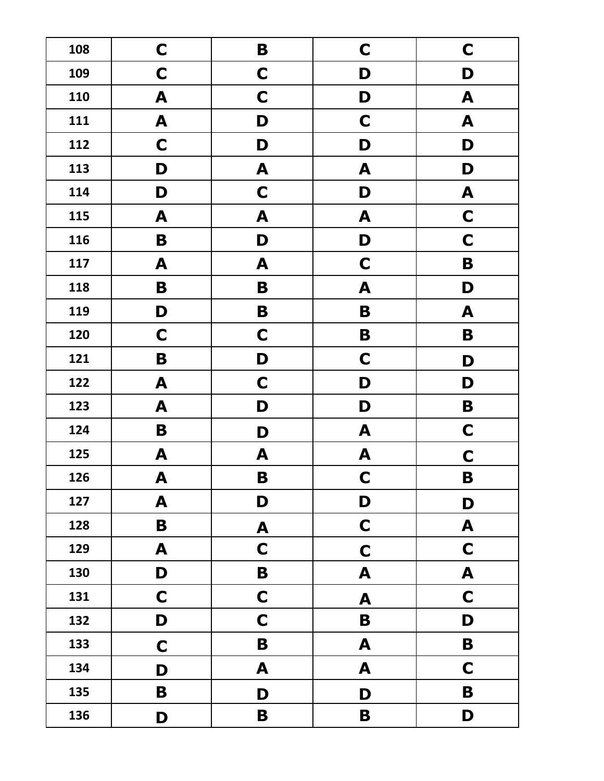| 108 | $\mathbf C$ | B           | $\mathbf C$               | $\mathbf C$      |
|-----|-------------|-------------|---------------------------|------------------|
| 109 | $\mathbf C$ | $\mathbf C$ | D                         | D                |
| 110 | A           | $\mathbf C$ | D                         | A                |
| 111 | A           | D           | $\mathbf C$               | $\blacktriangle$ |
| 112 | $\mathbf C$ | D           | D                         | D                |
| 113 | D           | A           | A                         | D                |
| 114 | D           | $\mathbf C$ | D                         | A                |
| 115 | A           | A           | A                         | $\mathbf C$      |
| 116 | $\mathbf B$ | D           | D                         | $\mathbf C$      |
| 117 | A           | A           | $\mathbf C$               | B                |
| 118 | $\mathbf B$ | B           | A                         | D                |
| 119 | D           | B           | B                         | A                |
| 120 | $\mathbf C$ | $\mathbf C$ | B                         | B                |
| 121 | $\mathbf B$ | D           | $\mathbf C$               | D                |
| 122 | A           | $\mathbf C$ | D                         | D                |
| 123 | A           | D           | D                         | $\mathbf B$      |
| 124 | $\mathbf B$ | D           | A                         | $\mathbf C$      |
| 125 | A           | A           | A                         | $\mathbf C$      |
| 126 | A           | B           | $\mathbf C$               | B                |
| 127 | A           | D           | D                         | D                |
| 128 | $\mathbf B$ | A           | $\mathbf C$               | A                |
| 129 | A           | $\mathbf C$ | $\mathbf C$               | $\mathbf C$      |
| 130 | D           | $\mathbf B$ | $\boldsymbol{\mathsf{A}}$ | $\mathbf{A}$     |
| 131 | $\mathbf C$ | $\mathbf C$ | A                         | $\mathbf C$      |
| 132 | D           | $\mathbf C$ | $\mathbf B$               | D                |
| 133 | $\mathbf C$ | $\mathbf B$ | A                         | $\mathbf B$      |
| 134 | D           | A           | A                         | $\mathbf C$      |
| 135 | $\mathbf B$ | D           | D                         | $\mathbf B$      |
| 136 | D           | B           | $\mathbf B$               | D                |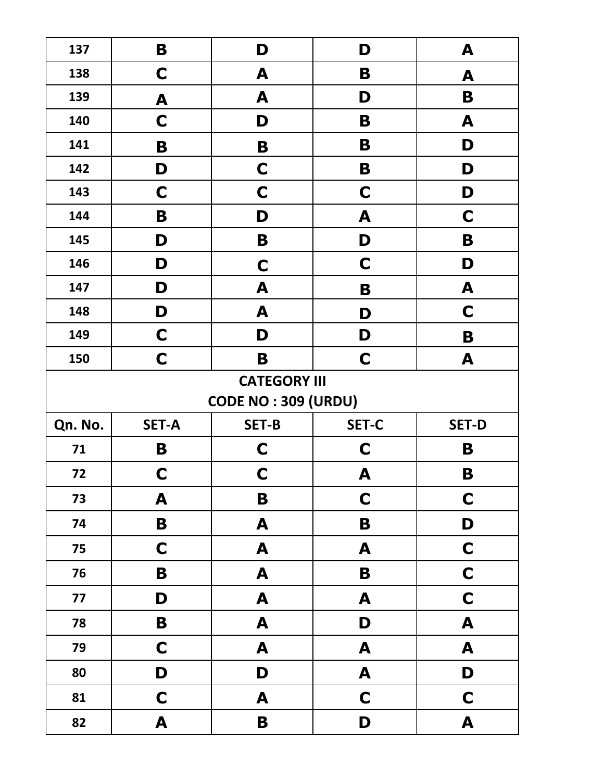| B<br>D<br>D<br>137<br>A<br>C<br>138<br>A<br>B<br>A<br>B<br>139<br>A<br>D<br>A<br>C<br>140<br>D<br>B<br>A<br>141<br>B<br>D<br>B<br>B<br>$\mathbf C$<br>142<br>B<br>D<br>D<br>$\mathbf C$<br>143<br>$\mathbf C$<br>$\mathbf C$<br>D<br>144<br>B<br>D<br>$\mathbf C$<br>A<br>145<br>B<br>D<br>D<br>B<br>$\mathbf C$<br>146<br>D<br>D<br>C<br>A<br>147<br>D<br>A<br>B<br>$\mathbf C$<br>148<br>D<br>A<br>D<br>$\mathbf C$<br>D<br>149<br>D<br>B<br>$\mathbf C$<br>B<br>$\mathbf C$<br>A<br>150<br><b>CATEGORY III</b><br><b>CODE NO: 309 (URDU)</b><br>Qn. No.<br><b>SET-A</b><br><b>SET-B</b><br><b>SET-C</b><br><b>SET-D</b><br>B<br>$\mathbf C$<br>C<br>B<br>71<br>B<br>C<br>C<br>А<br>72<br>$\mathbf C$<br>$\mathbf C$<br>A<br>$\mathbf B$<br>73<br>$\mathbf B$<br>B<br>D<br>A<br>74<br>$\mathbf C$<br>$\mathbf C$<br>$\blacktriangle$<br>$\boldsymbol{A}$<br>75<br>$\mathbf C$<br>$\mathbf B$<br>$\blacktriangle$<br>$\mathbf B$<br>76<br>$\mathbf C$<br>D<br>A<br>$\boldsymbol{A}$<br>77<br>$\mathbf{A}$<br>$\mathbf B$<br>$\boldsymbol{\mathsf{A}}$<br>D<br>78<br>$\mathbf C$<br>$\boldsymbol{A}$<br>$\blacktriangle$<br>A<br>79<br>D<br>D<br>$\blacktriangle$<br>D<br>80<br>$\mathbf C$<br>$\mathbf C$<br>$\mathbf C$<br>A<br>81<br>$\boldsymbol{A}$<br>$\blacktriangle$<br>D<br>B<br>82 |  |  |  |  |  |  |  |  |
|----------------------------------------------------------------------------------------------------------------------------------------------------------------------------------------------------------------------------------------------------------------------------------------------------------------------------------------------------------------------------------------------------------------------------------------------------------------------------------------------------------------------------------------------------------------------------------------------------------------------------------------------------------------------------------------------------------------------------------------------------------------------------------------------------------------------------------------------------------------------------------------------------------------------------------------------------------------------------------------------------------------------------------------------------------------------------------------------------------------------------------------------------------------------------------------------------------------------------------------------------------------------------------------------|--|--|--|--|--|--|--|--|
|                                                                                                                                                                                                                                                                                                                                                                                                                                                                                                                                                                                                                                                                                                                                                                                                                                                                                                                                                                                                                                                                                                                                                                                                                                                                                              |  |  |  |  |  |  |  |  |
|                                                                                                                                                                                                                                                                                                                                                                                                                                                                                                                                                                                                                                                                                                                                                                                                                                                                                                                                                                                                                                                                                                                                                                                                                                                                                              |  |  |  |  |  |  |  |  |
|                                                                                                                                                                                                                                                                                                                                                                                                                                                                                                                                                                                                                                                                                                                                                                                                                                                                                                                                                                                                                                                                                                                                                                                                                                                                                              |  |  |  |  |  |  |  |  |
|                                                                                                                                                                                                                                                                                                                                                                                                                                                                                                                                                                                                                                                                                                                                                                                                                                                                                                                                                                                                                                                                                                                                                                                                                                                                                              |  |  |  |  |  |  |  |  |
|                                                                                                                                                                                                                                                                                                                                                                                                                                                                                                                                                                                                                                                                                                                                                                                                                                                                                                                                                                                                                                                                                                                                                                                                                                                                                              |  |  |  |  |  |  |  |  |
|                                                                                                                                                                                                                                                                                                                                                                                                                                                                                                                                                                                                                                                                                                                                                                                                                                                                                                                                                                                                                                                                                                                                                                                                                                                                                              |  |  |  |  |  |  |  |  |
|                                                                                                                                                                                                                                                                                                                                                                                                                                                                                                                                                                                                                                                                                                                                                                                                                                                                                                                                                                                                                                                                                                                                                                                                                                                                                              |  |  |  |  |  |  |  |  |
|                                                                                                                                                                                                                                                                                                                                                                                                                                                                                                                                                                                                                                                                                                                                                                                                                                                                                                                                                                                                                                                                                                                                                                                                                                                                                              |  |  |  |  |  |  |  |  |
|                                                                                                                                                                                                                                                                                                                                                                                                                                                                                                                                                                                                                                                                                                                                                                                                                                                                                                                                                                                                                                                                                                                                                                                                                                                                                              |  |  |  |  |  |  |  |  |
|                                                                                                                                                                                                                                                                                                                                                                                                                                                                                                                                                                                                                                                                                                                                                                                                                                                                                                                                                                                                                                                                                                                                                                                                                                                                                              |  |  |  |  |  |  |  |  |
|                                                                                                                                                                                                                                                                                                                                                                                                                                                                                                                                                                                                                                                                                                                                                                                                                                                                                                                                                                                                                                                                                                                                                                                                                                                                                              |  |  |  |  |  |  |  |  |
|                                                                                                                                                                                                                                                                                                                                                                                                                                                                                                                                                                                                                                                                                                                                                                                                                                                                                                                                                                                                                                                                                                                                                                                                                                                                                              |  |  |  |  |  |  |  |  |
|                                                                                                                                                                                                                                                                                                                                                                                                                                                                                                                                                                                                                                                                                                                                                                                                                                                                                                                                                                                                                                                                                                                                                                                                                                                                                              |  |  |  |  |  |  |  |  |
|                                                                                                                                                                                                                                                                                                                                                                                                                                                                                                                                                                                                                                                                                                                                                                                                                                                                                                                                                                                                                                                                                                                                                                                                                                                                                              |  |  |  |  |  |  |  |  |
|                                                                                                                                                                                                                                                                                                                                                                                                                                                                                                                                                                                                                                                                                                                                                                                                                                                                                                                                                                                                                                                                                                                                                                                                                                                                                              |  |  |  |  |  |  |  |  |
|                                                                                                                                                                                                                                                                                                                                                                                                                                                                                                                                                                                                                                                                                                                                                                                                                                                                                                                                                                                                                                                                                                                                                                                                                                                                                              |  |  |  |  |  |  |  |  |
|                                                                                                                                                                                                                                                                                                                                                                                                                                                                                                                                                                                                                                                                                                                                                                                                                                                                                                                                                                                                                                                                                                                                                                                                                                                                                              |  |  |  |  |  |  |  |  |
|                                                                                                                                                                                                                                                                                                                                                                                                                                                                                                                                                                                                                                                                                                                                                                                                                                                                                                                                                                                                                                                                                                                                                                                                                                                                                              |  |  |  |  |  |  |  |  |
|                                                                                                                                                                                                                                                                                                                                                                                                                                                                                                                                                                                                                                                                                                                                                                                                                                                                                                                                                                                                                                                                                                                                                                                                                                                                                              |  |  |  |  |  |  |  |  |
|                                                                                                                                                                                                                                                                                                                                                                                                                                                                                                                                                                                                                                                                                                                                                                                                                                                                                                                                                                                                                                                                                                                                                                                                                                                                                              |  |  |  |  |  |  |  |  |
|                                                                                                                                                                                                                                                                                                                                                                                                                                                                                                                                                                                                                                                                                                                                                                                                                                                                                                                                                                                                                                                                                                                                                                                                                                                                                              |  |  |  |  |  |  |  |  |
|                                                                                                                                                                                                                                                                                                                                                                                                                                                                                                                                                                                                                                                                                                                                                                                                                                                                                                                                                                                                                                                                                                                                                                                                                                                                                              |  |  |  |  |  |  |  |  |
|                                                                                                                                                                                                                                                                                                                                                                                                                                                                                                                                                                                                                                                                                                                                                                                                                                                                                                                                                                                                                                                                                                                                                                                                                                                                                              |  |  |  |  |  |  |  |  |
|                                                                                                                                                                                                                                                                                                                                                                                                                                                                                                                                                                                                                                                                                                                                                                                                                                                                                                                                                                                                                                                                                                                                                                                                                                                                                              |  |  |  |  |  |  |  |  |
|                                                                                                                                                                                                                                                                                                                                                                                                                                                                                                                                                                                                                                                                                                                                                                                                                                                                                                                                                                                                                                                                                                                                                                                                                                                                                              |  |  |  |  |  |  |  |  |
|                                                                                                                                                                                                                                                                                                                                                                                                                                                                                                                                                                                                                                                                                                                                                                                                                                                                                                                                                                                                                                                                                                                                                                                                                                                                                              |  |  |  |  |  |  |  |  |
|                                                                                                                                                                                                                                                                                                                                                                                                                                                                                                                                                                                                                                                                                                                                                                                                                                                                                                                                                                                                                                                                                                                                                                                                                                                                                              |  |  |  |  |  |  |  |  |
|                                                                                                                                                                                                                                                                                                                                                                                                                                                                                                                                                                                                                                                                                                                                                                                                                                                                                                                                                                                                                                                                                                                                                                                                                                                                                              |  |  |  |  |  |  |  |  |
|                                                                                                                                                                                                                                                                                                                                                                                                                                                                                                                                                                                                                                                                                                                                                                                                                                                                                                                                                                                                                                                                                                                                                                                                                                                                                              |  |  |  |  |  |  |  |  |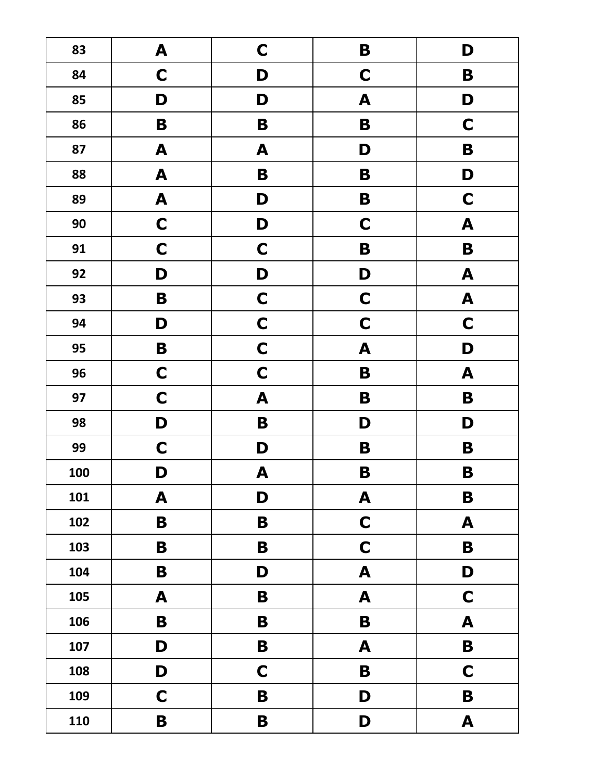| 83  | $\boldsymbol{\mathsf{A}}$ | $\mathbf C$      | B                | D                |
|-----|---------------------------|------------------|------------------|------------------|
| 84  | $\mathbf C$               | D                | $\mathbf C$      | B                |
| 85  | D                         | D                | A                | D                |
| 86  | $\mathbf B$               | $\mathbf B$      | $\mathbf B$      | $\mathbf C$      |
| 87  | A                         | A                | D                | $\mathbf B$      |
| 88  | $\boldsymbol{A}$          | B                | B                | D                |
| 89  | $\blacktriangle$          | D                | B                | $\mathbf C$      |
| 90  | $\mathbf C$               | D                | $\mathbf C$      | $\mathbf{A}$     |
| 91  | $\mathbf C$               | $\mathbf C$      | $\mathbf B$      | $\mathbf B$      |
| 92  | D                         | D                | D                | $\boldsymbol{A}$ |
| 93  | $\mathbf B$               | $\mathbf C$      | $\mathbf C$      | $\blacktriangle$ |
| 94  | D                         | $\mathbf C$      | $\mathbf C$      | $\mathbf C$      |
| 95  | $\mathbf B$               | $\mathbf C$      | ${\bf A}$        | D                |
| 96  | $\mathbf C$               | $\mathbf C$      | $\mathbf B$      | $\boldsymbol{A}$ |
| 97  | $\mathbf C$               | $\boldsymbol{A}$ | B                | B                |
| 98  | D                         | B                | D                | D                |
| 99  | $\mathbf C$               | D                | B                | B                |
| 100 | D                         | A                | B                | B                |
| 101 | A                         | D                | A                | $\mathbf B$      |
| 102 | $\mathbf B$               | B                | $\mathbf C$      | A                |
| 103 | B                         | B                | $\mathbf C$      | B                |
| 104 | B                         | D                | $\boldsymbol{A}$ | D                |
| 105 | A                         | B                | A                | $\mathbf C$      |
| 106 | $\mathbf B$               | $\mathbf B$      | $\mathbf B$      | $\blacktriangle$ |
| 107 | D                         | $\mathbf B$      | A                | $\mathbf B$      |
| 108 | D                         | $\mathbf C$      | $\mathbf B$      | $\mathbf C$      |
| 109 | $\mathbf C$               | $\mathbf B$      | D                | B                |
| 110 | $\mathbf B$               | $\mathbf B$      | D                | $\boldsymbol{A}$ |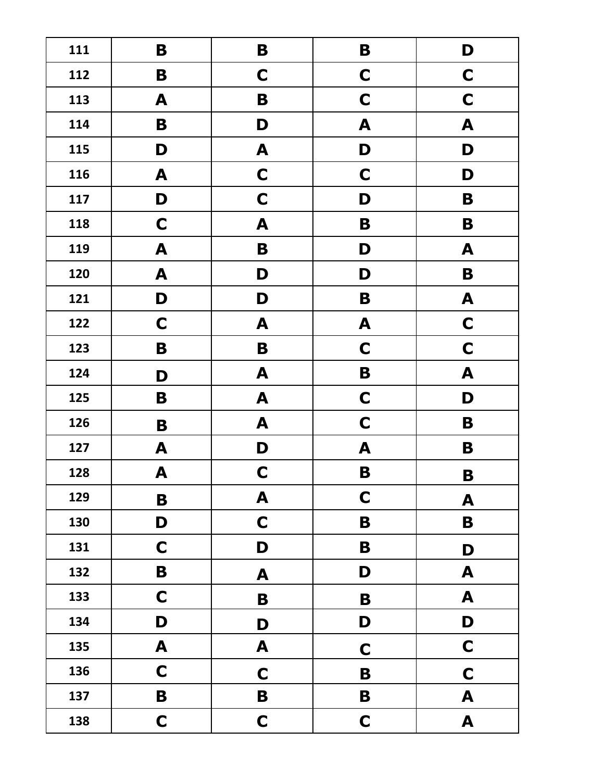| 111 | B                | B           | $\mathbf B$      | D                |
|-----|------------------|-------------|------------------|------------------|
| 112 | B                | $\mathbf C$ | $\mathbf C$      | $\mathbf C$      |
| 113 | A                | $\mathbf B$ | $\mathbf C$      | $\mathbf C$      |
| 114 | $\mathbf B$      | D           | A                | A                |
| 115 | D                | A           | D                | D                |
| 116 | A                | $\mathbf C$ | $\mathbf C$      | D                |
| 117 | D                | $\mathbf C$ | D                | B                |
| 118 | $\mathbf C$      | A           | $\mathbf B$      | B                |
| 119 | A                | $\mathbf B$ | D                | A                |
| 120 | $\blacktriangle$ | D           | D                | $\mathbf B$      |
| 121 | D                | D           | B                | A                |
| 122 | $\mathbf C$      | A           | A                | $\mathbf C$      |
| 123 | $\mathbf B$      | B           | $\mathbf C$      | $\mathbf C$      |
| 124 | D                | A           | $\mathbf B$      | $\blacktriangle$ |
| 125 | $\mathbf B$      | A           | $\mathbf C$      | D                |
| 126 | $\mathbf B$      | A           | $\mathbf C$      | B                |
| 127 | A                | D           | $\boldsymbol{A}$ | B                |
| 128 | A                | $\mathbf C$ | B                | B                |
| 129 | $\mathbf B$      | A           | $\mathbf C$      | A                |
| 130 | D                | $\mathbf C$ | B                | B                |
| 131 | $\mathbf C$      | D           | B                | D                |
| 132 | $\mathbf B$      | A           | D                | A                |
| 133 | $\mathbf C$      | $\mathbf B$ | B                | $\blacktriangle$ |
| 134 | D                | D           | D                | D                |
| 135 | A                | A           | $\mathbf C$      | $\mathbf C$      |
| 136 | $\mathbf C$      | $\mathbf C$ | B                | $\mathbf C$      |
| 137 | $\mathbf B$      | B           | B                | A                |
| 138 | $\mathbf C$      | $\mathbf C$ | $\mathbf C$      | A                |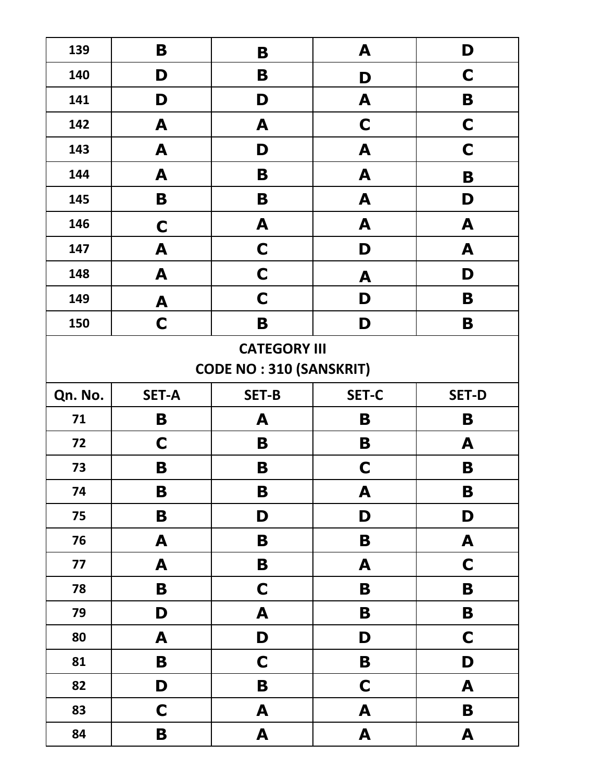| 139     | B            | B                              | A            | D            |
|---------|--------------|--------------------------------|--------------|--------------|
| 140     | D            | B                              | D            | C            |
| 141     | D            | D                              | A            | B            |
| 142     | A            | A                              | C            | $\mathbf C$  |
| 143     | A            | D                              | A            | $\mathbf C$  |
| 144     | A            | B                              | A            | B            |
| 145     | B            | B                              | A            | D            |
| 146     | $\mathbf C$  | A                              | A            | A            |
| 147     | A            | $\mathbf C$                    | D            | A            |
| 148     | A            | $\mathbf C$                    | A            | D            |
| 149     | A            | $\mathbf C$                    | D            | B            |
| 150     | $\mathbf C$  | B                              | D            | B            |
|         |              | <b>CATEGORY III</b>            |              |              |
|         |              | <b>CODE NO: 310 (SANSKRIT)</b> |              |              |
| Qn. No. | <b>SET-A</b> | <b>SET-B</b>                   | <b>SET-C</b> | <b>SET-D</b> |
| 71      | B            | A                              | B            | B            |
| 72      | C            | B                              | B            | A            |
| 73      | B            | B                              | $\mathbf C$  | B            |
| 74      | $\mathbf B$  | B                              | A            | B            |
| 75      | $\mathbf B$  | D                              | D            | D            |
| 76      | A            | B                              | B            | A            |
| 77      | A            | B                              | A            | $\mathbf C$  |
| 78      | B            | $\mathbf C$                    | B            | B            |
| 79      | D            | A                              | B            | B            |
| 80      | A            | D                              | D            | $\mathbf C$  |
| 81      | $\mathbf B$  | $\mathbf C$                    | $\mathbf B$  | D            |
| 82      | D            | $\mathbf B$                    | $\mathbf C$  | A            |
| 83      | $\mathbf C$  | A                              | A            | B            |
| 84      |              |                                |              |              |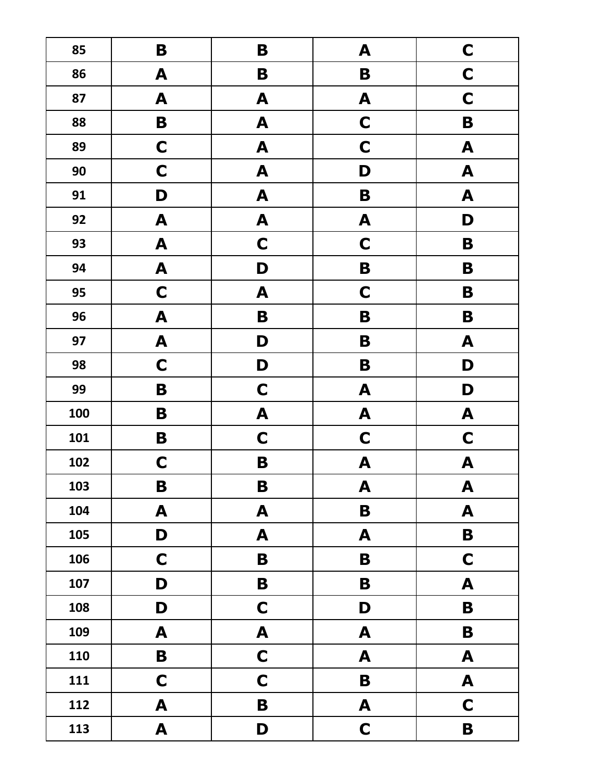| 85  | $\mathbf B$      | B                | A                | $\mathbf C$      |
|-----|------------------|------------------|------------------|------------------|
| 86  | A                | $\mathbf B$      | $\mathbf B$      | $\mathbf C$      |
| 87  | A                | A                | A                | $\mathbf C$      |
| 88  | B                | $\blacktriangle$ | $\mathbf C$      | $\mathbf B$      |
| 89  | $\mathbf C$      | $\blacktriangle$ | $\mathbf C$      | $\blacktriangle$ |
| 90  | $\mathbf C$      | $\blacktriangle$ | D                | $\boldsymbol{A}$ |
| 91  | D                | $\blacktriangle$ | $\mathbf B$      | $\boldsymbol{A}$ |
| 92  | A                | A                | A                | D                |
| 93  | A                | $\mathbf C$      | $\mathbf C$      | B                |
| 94  | A                | D                | B                | B                |
| 95  | $\mathbf C$      | A                | $\mathbf C$      | B                |
| 96  | $\boldsymbol{A}$ | B                | B                | B                |
| 97  | $\boldsymbol{A}$ | D                | B                | $\boldsymbol{A}$ |
| 98  | $\mathbf C$      | D                | B                | D                |
| 99  | $\mathbf B$      | $\mathbf C$      | $\boldsymbol{A}$ | D                |
| 100 | $\mathbf B$      | $\blacktriangle$ | $\blacktriangle$ | $\blacktriangle$ |
| 101 | $\mathbf B$      | $\mathbf C$      | $\mathbf C$      | $\mathbf C$      |
| 102 | $\mathbf C$      | $\mathbf B$      | $\boldsymbol{A}$ | A                |
| 103 | B                | B                | A                | A                |
| 104 | A                | $\boldsymbol{A}$ | B                | $\boldsymbol{A}$ |
| 105 | D                | A                | A                | B                |
| 106 | $\mathbf C$      | B                | B                | $\mathbf C$      |
| 107 | D                | B                | B                | A                |
| 108 | D                | $\mathbf C$      | D                | B                |
| 109 | A                | $\blacktriangle$ | A                | B                |
| 110 | B                | $\mathbf C$      | A                | A                |
| 111 | $\mathbf C$      | $\mathbf C$      | $\mathbf B$      | A                |
| 112 | A                | $\mathbf B$      | A                | $\mathbf C$      |
| 113 | A                | D                | $\mathbf C$      | $\mathbf B$      |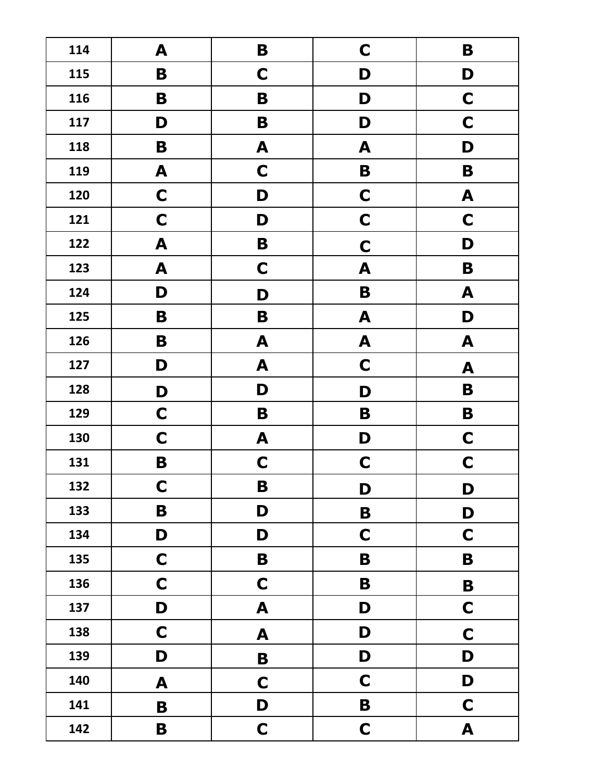| 114 | A           | B           | $\mathbf C$      | B                |
|-----|-------------|-------------|------------------|------------------|
| 115 | $\mathbf B$ | $\mathbf C$ | D                | D                |
| 116 | $\mathbf B$ | B           | D                | $\mathbf C$      |
| 117 | D           | B           | D                | $\mathbf C$      |
| 118 | B           | A           | A                | D                |
| 119 | A           | $\mathbf C$ | $\mathbf B$      | $\mathbf B$      |
| 120 | $\mathbf C$ | D           | $\mathbf C$      | A                |
| 121 | $\mathbf C$ | D           | $\mathbf C$      | $\mathbf C$      |
| 122 | A           | B           | $\mathbf C$      | D                |
| 123 | A           | $\mathbf C$ | $\boldsymbol{A}$ | B                |
| 124 | D           | D           | B                | A                |
| 125 | B           | B           | A                | D                |
| 126 | B           | A           | $\boldsymbol{A}$ | $\boldsymbol{A}$ |
| 127 | D           | A           | $\mathbf C$      | A                |
| 128 | D           | D           | D                | $\mathbf B$      |
| 129 | $\mathbf C$ | B           | B                | B                |
| 130 | $\mathbf C$ | A           | D                | $\mathbf C$      |
| 131 | $\mathbf B$ | $\mathbf C$ | $\mathbf C$      | $\mathbf C$      |
| 132 | $\mathbf C$ | B           | D                | D                |
| 133 | $\mathbf B$ | D           | B                | D                |
| 134 | D           | D           | $\mathbf C$      | $\mathbf C$      |
| 135 | $\mathbf C$ | B           | B                | $\mathbf B$      |
| 136 | $\mathbf C$ | $\mathbf C$ | B                | $\mathbf B$      |
| 137 | D           | A           | D                | $\mathbf C$      |
| 138 | $\mathbf C$ | A           | D                | $\mathbf C$      |
| 139 | D           | $\mathbf B$ | D                | D                |
| 140 | A           | $\mathbf C$ | $\mathbf C$      | D                |
| 141 | $\mathbf B$ | D           | $\mathbf B$      | $\mathbf C$      |
| 142 | $\mathbf B$ | $\mathbf C$ | $\mathbf C$      | $\blacktriangle$ |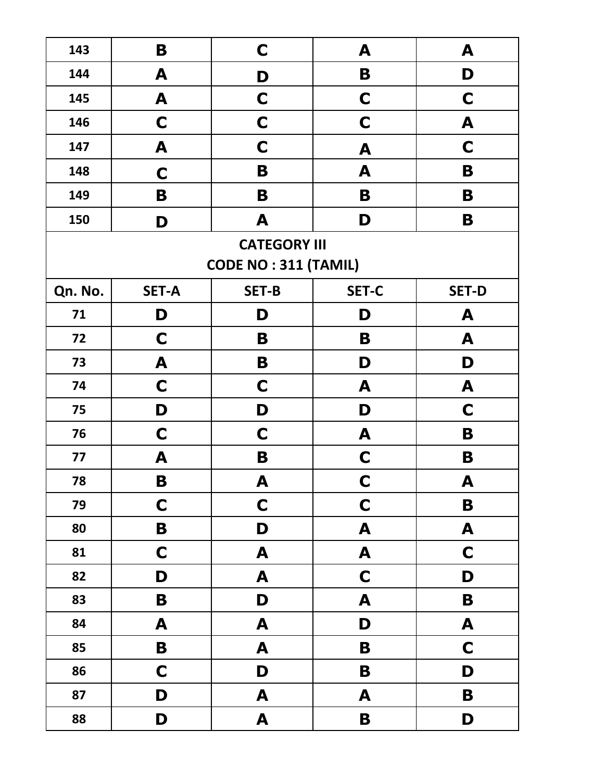| 143     | B            | $\mathbf C$                 | A            | A            |
|---------|--------------|-----------------------------|--------------|--------------|
| 144     | A            | D                           | B            | D            |
| 145     | A            | $\mathbf C$                 | $\mathbf C$  | C            |
| 146     | $\mathbf C$  | $\mathbf C$                 | $\mathbf C$  | A            |
| 147     | A            | $\mathbf C$                 | A            | $\mathbf C$  |
| 148     | $\mathbf C$  | B                           | A            | B            |
| 149     | B            | B                           | B            | B            |
| 150     | D            | A                           | D            | B            |
|         |              | <b>CATEGORY III</b>         |              |              |
|         |              | <b>CODE NO: 311 (TAMIL)</b> |              |              |
| Qn. No. | <b>SET-A</b> | <b>SET-B</b>                | <b>SET-C</b> | <b>SET-D</b> |
| 71      | D            | D                           | D            | A            |
| 72      | C            | B                           | B            | A            |
| 73      | A            | B                           | D            | D            |
| 74      | $\mathbf C$  | $\mathbf C$                 | A            | A            |
| 75      | D            | D                           | D            | C            |
| 76      | $\mathbf C$  | $\mathbf C$                 | A            | B            |
| 77      | A            | B                           | C            | B            |
| 78      | B            | A                           | $\mathbf C$  | A            |
| 79      | $\mathbf C$  | $\mathbf C$                 | $\mathbf C$  | $\mathbf B$  |
| 80      | $\mathbf B$  | D                           | A            | A            |
| 81      | $\mathbf C$  | A                           | A            | $\mathbf C$  |
| 82      | D            | A                           | $\mathbf C$  | D            |
| 83      | $\mathbf B$  | D                           | A            | $\mathbf B$  |
| 84      | A            | A                           | D            | A            |
| 85      | B            | A                           | B            | $\mathbf C$  |
| 86      | $\mathbf C$  | D                           | $\mathbf B$  | D            |
| 87      | D            | A                           | A            | $\mathbf B$  |
| 88      | D            | A                           | $\mathbf B$  | D            |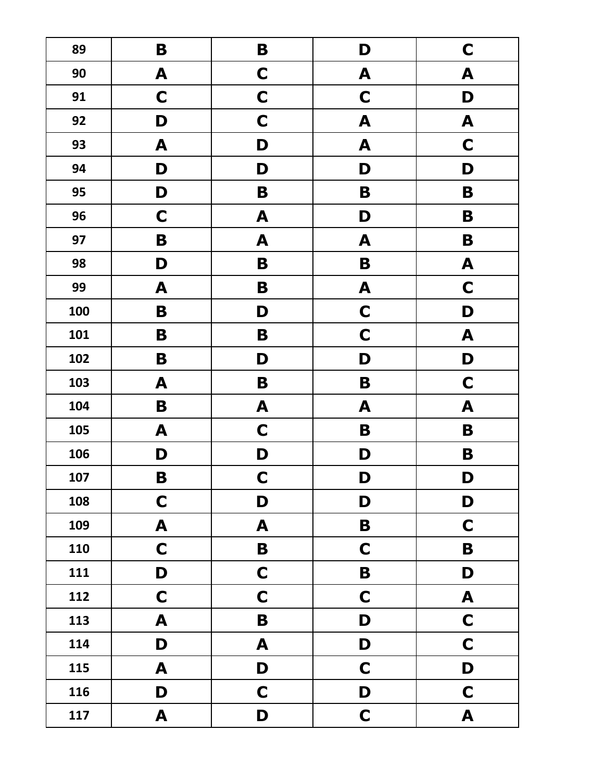| 89  | $\mathbf B$ | $\mathbf B$      | D           | $\mathbf C$      |
|-----|-------------|------------------|-------------|------------------|
| 90  | A           | $\mathbf C$      | A           | A                |
| 91  | $\mathbf C$ | $\mathbf C$      | $\mathbf C$ | D                |
| 92  | D           | $\mathbf C$      | A           | A                |
| 93  | A           | D                | A           | $\mathbf C$      |
| 94  | D           | D                | D           | D                |
| 95  | D           | B                | B           | B                |
| 96  | $\mathbf C$ | A                | D           | B                |
| 97  | B           | $\blacktriangle$ | A           | B                |
| 98  | D           | B                | $\mathbf B$ | A                |
| 99  | A           | B                | A           | $\mathbf C$      |
| 100 | B           | D                | $\mathbf C$ | D                |
| 101 | B           | B                | $\mathbf C$ | A                |
| 102 | B           | D                | D           | D                |
| 103 | A           | B                | B           | $\mathbf C$      |
| 104 | B           | A                | A           | A                |
| 105 | A           | $\mathbf C$      | B           | B                |
| 106 | D           | D                | D           | B                |
| 107 | B           | $\mathbf C$      | D           | D                |
| 108 | $\mathbf C$ | D                | D           | D                |
| 109 | A           | A                | B           | $\mathbf C$      |
| 110 | $\mathbf C$ | $\mathbf B$      | $\mathbf C$ | $\mathbf B$      |
| 111 | D           | $\mathbf C$      | $\mathbf B$ | D                |
| 112 | $\mathbf C$ | $\mathbf C$      | $\mathbf C$ | $\blacktriangle$ |
| 113 | A           | $\mathbf B$      | D           | $\mathbf C$      |
| 114 | D           | $\blacktriangle$ | D           | $\mathbf C$      |
| 115 | A           | D                | $\mathbf C$ | D                |
| 116 | D           | $\mathbf C$      | D           | $\mathbf C$      |
| 117 | A           | D                | $\mathbf C$ | $\mathbf{A}$     |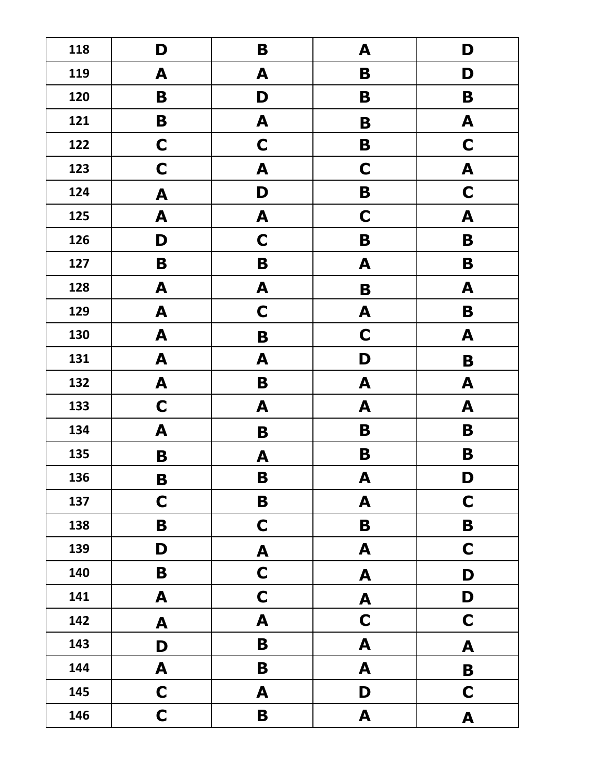| 118 | D                | B                | A                | D                |
|-----|------------------|------------------|------------------|------------------|
| 119 | A                | A                | B                | D                |
| 120 | B                | D                | B                | B                |
| 121 | B                | A                | B                | A                |
| 122 | $\mathbf C$      | $\mathbf C$      | B                | $\mathbf C$      |
| 123 | $\mathbf C$      | A                | $\mathbf C$      | $\mathbf{A}$     |
| 124 | A                | D                | $\mathbf B$      | $\mathbf C$      |
| 125 | A                | A                | $\mathbf C$      | A                |
| 126 | D                | $\mathbf C$      | B                | $\mathbf B$      |
| 127 | $\mathbf B$      | B                | A                | B                |
| 128 | A                | A                | B                | A                |
| 129 | A                | $\mathbf C$      | A                | $\mathbf B$      |
| 130 | A                | $\mathbf B$      | $\mathbf C$      | A                |
| 131 | A                | A                | D                | B                |
| 132 | A                | B                | A                | A                |
| 133 | $\mathbf C$      | A                | A                | A                |
| 134 | A                | B                | B                | B                |
| 135 | B                | A                | B                | B                |
| 136 | B                | B                | A                | D                |
| 137 | $\mathbf C$      | B                | A                | $\mathbf C$      |
| 138 | $\mathbf B$      | $\mathbf C$      | B                | $\mathbf B$      |
| 139 | D                | $\boldsymbol{A}$ | A                | $\mathbf C$      |
| 140 | $\mathbf B$      | $\mathbf C$      | A                | D                |
| 141 | $\blacktriangle$ | $\mathbf C$      | A                | D                |
| 142 | A                | A                | $\mathbf C$      | $\mathbf C$      |
| 143 | D                | B                | $\blacktriangle$ | $\blacktriangle$ |
| 144 | A                | B                | A                | $\mathbf B$      |
| 145 | $\mathbf C$      | A                | D                | $\mathbf C$      |
| 146 | $\mathbf C$      | $\mathbf B$      | A                | $\mathbf{A}$     |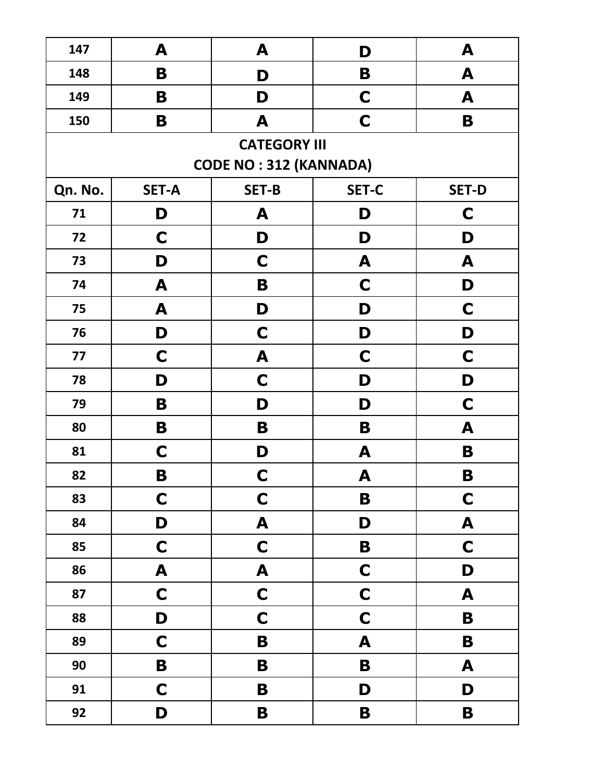| 147     | A                | A                             | D                         | A                |
|---------|------------------|-------------------------------|---------------------------|------------------|
| 148     | B                | D                             | B                         | A                |
| 149     | B                | D                             | $\mathbf C$               | A                |
| 150     | B                | A                             | $\mathbf C$               | B                |
|         |                  | <b>CATEGORY III</b>           |                           |                  |
|         |                  | <b>CODE NO: 312 (KANNADA)</b> |                           |                  |
| Qn. No. | <b>SET-A</b>     | <b>SET-B</b>                  | <b>SET-C</b>              | <b>SET-D</b>     |
| 71      | D                | A                             | D                         | C                |
| 72      | C                | D                             | D                         | D                |
| 73      | D                | C                             | A                         | A                |
| 74      | A                | B                             | C                         | D                |
| 75      | A                | D                             | D                         | C                |
| 76      | D                | $\mathbf C$                   | D                         | D                |
| 77      | C                | A                             | C                         | C                |
| 78      | D                | C                             | D                         | D                |
| 79      | B                | D                             | D                         | C                |
| 80      | B                | B                             | B                         | A                |
| 81      | $\mathbf C$      | D                             | A                         | B                |
| 82      | B                | C                             | A                         | B                |
| 83      | $\mathbf C$      | $\mathbf C$                   | B                         | $\mathbf C$      |
| 84      | D                | $\boldsymbol{A}$              | D                         | A                |
| 85      | $\mathbf C$      | $\mathbf C$                   | $\mathbf B$               | $\mathbf C$      |
| 86      | $\boldsymbol{A}$ | $\boldsymbol{A}$              | $\mathbf C$               | D                |
| 87      | $\mathbf C$      | $\mathbf C$                   | $\mathbf C$               | $\mathbf{A}$     |
| 88      | D                | $\mathbf C$                   | $\mathbf C$               | $\mathbf B$      |
| 89      | $\mathbf C$      | B                             | $\boldsymbol{\mathsf{A}}$ | $\mathbf B$      |
| 90      | $\mathbf B$      | B                             | B                         | $\boldsymbol{A}$ |
| 91      | $\mathbf C$      | B                             | D                         | D                |
| 92      | D                | B                             | $\mathbf B$               | $\mathbf B$      |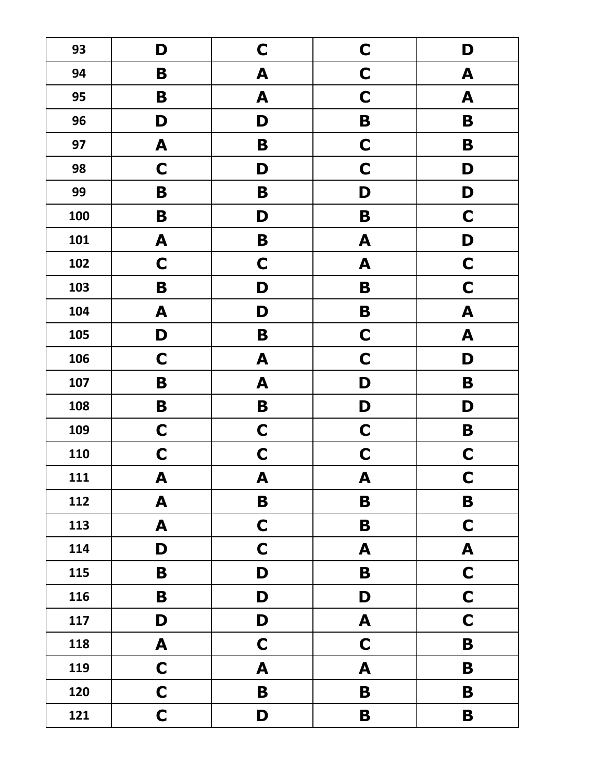| 93  | D           | $\mathbf C$ | $\mathbf C$ | D                |
|-----|-------------|-------------|-------------|------------------|
| 94  | B           | A           | $\mathbf C$ | A                |
| 95  | B           | A           | $\mathbf C$ | A                |
| 96  | D           | D           | B           | $\mathbf B$      |
| 97  | A           | B           | $\mathbf C$ | B                |
| 98  | $\mathbf C$ | D           | $\mathbf C$ | D                |
| 99  | $\mathbf B$ | B           | D           | D                |
| 100 | $\mathbf B$ | D           | B           | $\mathbf C$      |
| 101 | A           | B           | A           | D                |
| 102 | $\mathbf C$ | $\mathbf C$ | A           | $\mathbf C$      |
| 103 | $\mathbf B$ | D           | B           | $\mathbf C$      |
| 104 | A           | D           | B           | $\blacktriangle$ |
| 105 | D           | B           | $\mathbf C$ | A                |
| 106 | $\mathbf C$ | A           | $\mathbf C$ | D                |
| 107 | B           | A           | D           | B                |
| 108 | B           | B           | D           | D                |
| 109 | $\mathbf C$ | $\mathbf C$ | $\mathbf C$ | B                |
| 110 | $\mathbf C$ | $\mathbf C$ | $\mathbf C$ | $\mathbf C$      |
| 111 | A           | A           | A           | $\mathbf C$      |
| 112 | A           | B           | $\mathbf B$ | $\mathbf B$      |
| 113 | A           | $\mathbf C$ | B           | $\mathbf C$      |
| 114 | D           | $\mathbf C$ | A           | $\mathbf{A}$     |
| 115 | $\mathbf B$ | D           | $\mathbf B$ | $\mathbf C$      |
| 116 | $\mathbf B$ | D           | D           | $\mathbf C$      |
| 117 | D           | D           | A           | $\mathbf C$      |
| 118 | A           | $\mathbf C$ | $\mathbf C$ | $\mathbf B$      |
| 119 | $\mathbf C$ | A           | A           | $\mathbf B$      |
| 120 | $\mathbf C$ | $\mathbf B$ | $\mathbf B$ | $\mathbf B$      |
| 121 | $\mathbf C$ | D           | $\mathbf B$ | $\mathbf B$      |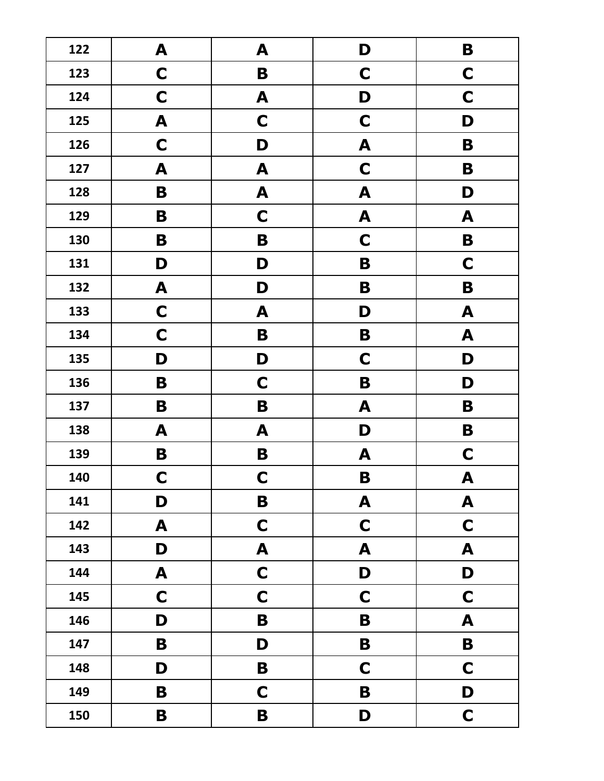| 122 | A                | A           | D                | B                  |
|-----|------------------|-------------|------------------|--------------------|
| 123 | $\mathbf C$      | B           | $\mathbf C$      | C                  |
| 124 | $\mathbf C$      | A           | D                | C                  |
| 125 | $\blacktriangle$ | $\mathbf C$ | $\mathbf C$      | D                  |
| 126 | $\mathbf C$      | D           | $\boldsymbol{A}$ | B                  |
| 127 | A                | A           | $\mathbf C$      | B                  |
| 128 | $\mathbf B$      | A           | $\blacktriangle$ | D                  |
| 129 | B                | $\mathbf C$ | $\blacktriangle$ | A                  |
| 130 | B                | B           | $\mathbf C$      | $\mathbf B$        |
| 131 | D                | D           | B                | $\mathbf C$        |
| 132 | A                | D           | B                | B                  |
| 133 | $\mathbf C$      | A           | D                | A                  |
| 134 | $\mathbf C$      | B           | B                | A                  |
| 135 | D                | D           | $\mathbf C$      | D                  |
| 136 | B                | $\mathbf C$ | B                | D                  |
| 137 | B                | B           | A                | B                  |
| 138 | A                | A           | D                | B                  |
| 139 | B                | B           | A                | $\mathbf C$        |
| 140 | $\mathbf C$      | $\mathbf C$ | B                | A                  |
| 141 | D                | B           | A                | $\pmb{\mathsf{A}}$ |
| 142 | A                | $\mathbf C$ | $\mathbf C$      | $\mathbf C$        |
| 143 | D                | A           | A                | $\blacktriangle$   |
| 144 | A                | $\mathbf C$ | D                | D                  |
| 145 | $\mathbf C$      | $\mathbf C$ | $\mathbf C$      | $\mathbf C$        |
| 146 | D                | $\mathbf B$ | $\mathbf B$      | $\blacktriangle$   |
| 147 | $\mathbf B$      | D           | $\mathbf B$      | $\mathbf B$        |
| 148 | D                | B           | $\mathbf C$      | $\mathbf C$        |
| 149 | $\mathbf B$      | $\mathbf C$ | $\mathbf B$      | D                  |
| 150 | $\mathbf B$      | $\mathbf B$ | D                | $\mathbf C$        |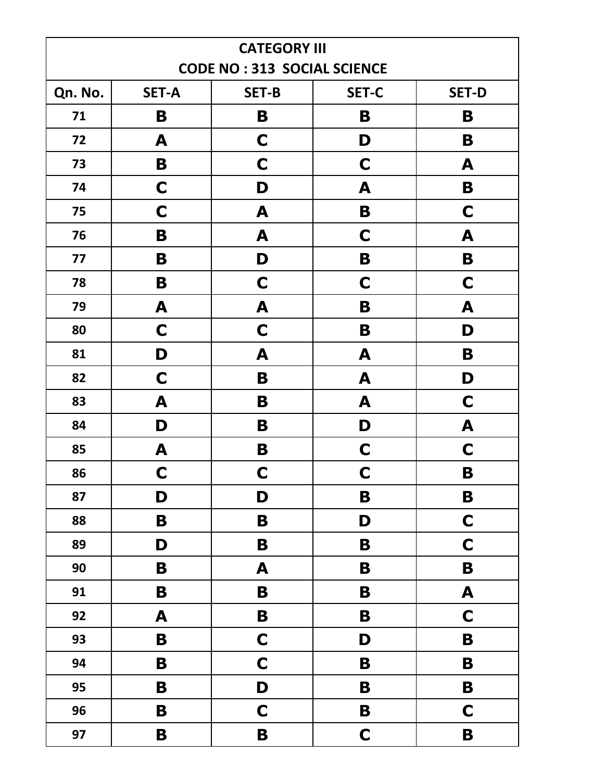|         | <b>CATEGORY III</b>                |              |             |                  |  |
|---------|------------------------------------|--------------|-------------|------------------|--|
|         | <b>CODE NO: 313 SOCIAL SCIENCE</b> |              |             |                  |  |
| Qn. No. | <b>SET-A</b>                       | <b>SET-B</b> | SET-C       | <b>SET-D</b>     |  |
| 71      | B                                  | B            | B           | B                |  |
| 72      | A                                  | $\mathbf C$  | D           | B                |  |
| 73      | B                                  | $\mathbf C$  | $\mathbf C$ | A                |  |
| 74      | C                                  | D            | A           | B                |  |
| 75      | C                                  | A            | B           | C                |  |
| 76      | B                                  | A            | $\mathbf C$ | A                |  |
| 77      | B                                  | D            | B           | B                |  |
| 78      | B                                  | $\mathbf C$  | $\mathbf C$ | C                |  |
| 79      | A                                  | A            | B           | A                |  |
| 80      | C                                  | $\mathbf C$  | B           | D                |  |
| 81      | D                                  | A            | A           | B                |  |
| 82      | C                                  | B            | A           | D                |  |
| 83      | A                                  | B            | A           | C                |  |
| 84      | D                                  | B            | D           | A                |  |
| 85      | A                                  | B            | $\mathbf C$ | C                |  |
| 86      | $\mathbf C$                        | C            | $\mathbf C$ | B                |  |
| 87      | D                                  | D            | B           | B                |  |
| 88      | $\mathbf B$                        | B            | D           | $\mathbf C$      |  |
| 89      | D                                  | B            | $\mathbf B$ | $\mathbf C$      |  |
| 90      | $\mathbf B$                        | A            | $\mathbf B$ | $\mathbf B$      |  |
| 91      | $\mathbf B$                        | B            | B           | $\boldsymbol{A}$ |  |
| 92      | A                                  | B            | B           | $\mathbf C$      |  |
| 93      | B                                  | $\mathbf C$  | D           | $\mathbf B$      |  |
| 94      | $\mathbf B$                        | $\mathbf C$  | B           | B                |  |
| 95      | B                                  | D            | B           | B                |  |
| 96      | $\mathbf B$                        | $\mathbf C$  | B           | $\mathbf C$      |  |
| 97      | B                                  | B            | $\mathbf C$ | $\mathbf B$      |  |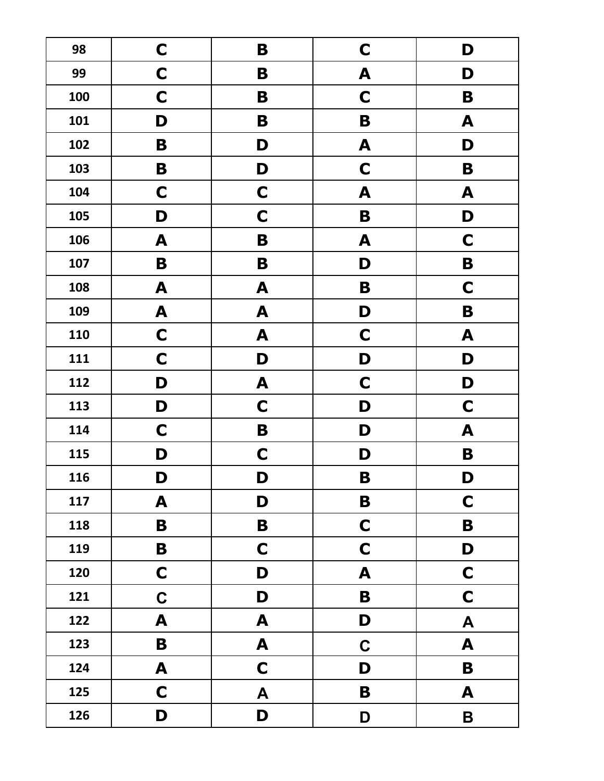| 98  | $\mathbf C$      | B                | $\mathbf C$      | D                |
|-----|------------------|------------------|------------------|------------------|
| 99  | $\mathbf C$      | B                | A                | D                |
| 100 | $\mathbf C$      | B                | $\mathbf C$      | B                |
| 101 | D                | B                | B                | A                |
| 102 | B                | D                | A                | D                |
| 103 | B                | D                | $\mathbf C$      | B                |
| 104 | $\mathbf C$      | $\mathbf C$      | A                | A                |
| 105 | D                | $\mathbf C$      | $\mathbf B$      | D                |
| 106 | A                | B                | A                | $\mathbf C$      |
| 107 | $\mathbf B$      | B                | D                | B                |
| 108 | A                | A                | B                | $\mathbf C$      |
| 109 | $\blacktriangle$ | A                | D                | $\mathbf B$      |
| 110 | $\mathbf C$      | A                | $\mathbf C$      | A                |
| 111 | $\mathbf C$      | D                | D                | D                |
| 112 | D                | A                | $\mathbf C$      | D                |
| 113 | D                | $\mathbf C$      | D                | $\mathbf C$      |
| 114 | $\mathbf C$      | B                | D                | A                |
| 115 | D                | $\mathbf C$      | D                | B                |
| 116 | D                | D                | B                | D                |
| 117 | A                | D                | B                | $\mathbf C$      |
| 118 | $\mathbf B$      | B                | $\mathbf C$      | $\mathbf B$      |
| 119 | $\mathbf B$      | $\mathbf C$      | $\mathbf C$      | D                |
| 120 | $\mathbf C$      | D                | $\boldsymbol{A}$ | $\mathbf C$      |
| 121 | $\mathbf C$      | D                | $\mathbf B$      | $\mathbf C$      |
| 122 | A                | A                | D                | $\mathbf{A}$     |
| 123 | $\mathbf B$      | A                | $\mathbf C$      | $\blacktriangle$ |
| 124 | A                | $\mathbf C$      | D                | $\mathbf B$      |
| 125 | $\mathbf C$      | $\boldsymbol{A}$ | B                | $\blacktriangle$ |
| 126 | D                | D                | D                | $\mathbf B$      |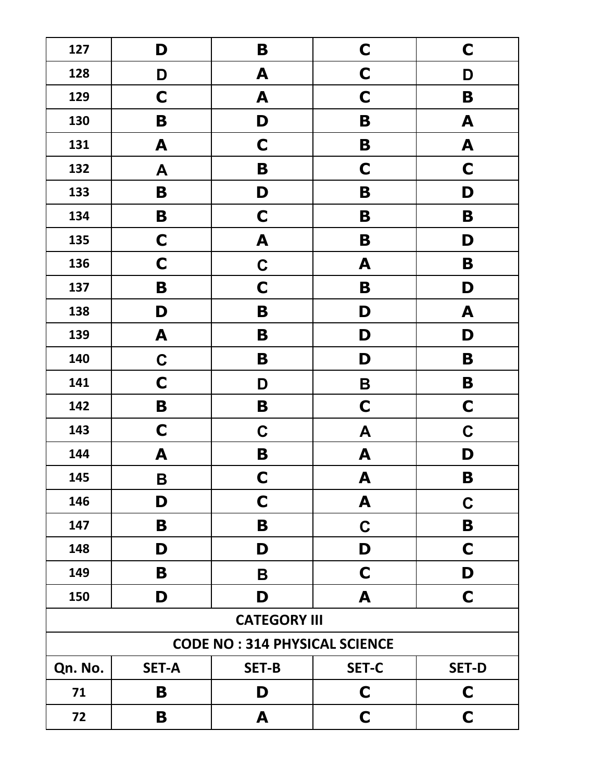| 127     | D                                    | B            | $\mathbf C$  | $\mathbf C$  |  |
|---------|--------------------------------------|--------------|--------------|--------------|--|
| 128     | D                                    | A            | $\mathbf C$  | D            |  |
| 129     | $\mathbf C$                          | A            | C            | B            |  |
| 130     | B                                    | D            | B            | A            |  |
| 131     | A                                    | $\mathbf C$  | B            | $\mathbf{A}$ |  |
| 132     | A                                    | $\mathbf B$  | $\mathbf C$  | $\mathbf C$  |  |
| 133     | $\mathbf B$                          | D            | B            | D            |  |
| 134     | $\mathbf B$                          | C            | B            | B            |  |
| 135     | $\mathbf C$                          | A            | B            | D            |  |
| 136     | $\mathbf C$                          | $\mathbf C$  | A            | B            |  |
| 137     | $\mathbf B$                          | $\mathbf C$  | B            | D            |  |
| 138     | D                                    | $\mathbf B$  | D            | A            |  |
| 139     | A                                    | B            | D            | D            |  |
| 140     | $\mathbf C$                          | B            | D            | B            |  |
| 141     | $\mathbf C$                          | D            | B            | B            |  |
| 142     | $\mathbf B$                          | B            | $\mathbf C$  | $\mathbf C$  |  |
| 143     | $\mathbf C$                          | $\mathbf C$  | A            | $\mathbf C$  |  |
| 144     | A                                    | B            | A            | D            |  |
| 145     | $\mathsf B$                          | $\mathbf C$  | A            | B            |  |
| 146     | D                                    | C            | A            | $\mathbf C$  |  |
| 147     | B                                    | B            | C            | B            |  |
| 148     | D                                    | D            | D            | C            |  |
| 149     | B                                    | B            | $\mathsf{C}$ | D            |  |
| 150     | D                                    | D            | A            | C            |  |
|         | <b>CATEGORY III</b>                  |              |              |              |  |
|         | <b>CODE NO: 314 PHYSICAL SCIENCE</b> |              |              |              |  |
| Qn. No. | <b>SET-A</b>                         | <b>SET-B</b> | SET-C        | <b>SET-D</b> |  |
| 71      | B                                    | D            | C            | C            |  |
| 72      | B                                    | A            | $\mathbf C$  | $\mathbf C$  |  |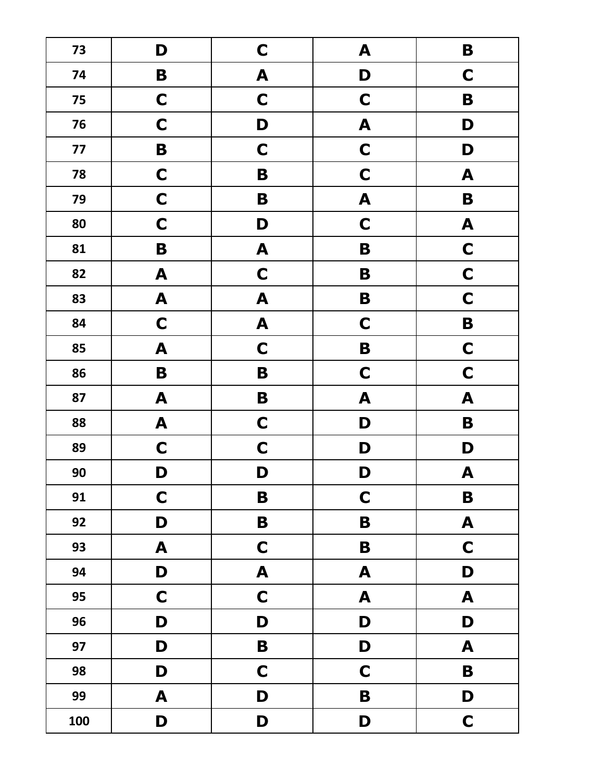| 73  | D                | $\mathbf C$      | A                | $\mathbf B$      |
|-----|------------------|------------------|------------------|------------------|
| 74  | $\mathbf B$      | $\blacktriangle$ | D                | $\mathbf C$      |
| 75  | $\mathbf C$      | $\mathbf C$      | $\mathbf C$      | B                |
| 76  | $\mathbf C$      | D                | $\boldsymbol{A}$ | D                |
| 77  | $\mathbf B$      | $\mathbf C$      | $\mathbf C$      | D                |
| 78  | $\mathbf C$      | B                | $\mathbf C$      | $\boldsymbol{A}$ |
| 79  | $\mathbf C$      | B                | $\blacktriangle$ | $\mathbf B$      |
| 80  | $\mathbf C$      | D                | $\mathbf C$      | $\blacktriangle$ |
| 81  | $\mathbf B$      | $\boldsymbol{A}$ | $\mathbf B$      | $\mathbf C$      |
| 82  | A                | $\mathbf C$      | B                | $\mathbf C$      |
| 83  | $\boldsymbol{A}$ | $\boldsymbol{A}$ | $\mathbf B$      | $\mathbf C$      |
| 84  | $\mathbf C$      | $\boldsymbol{A}$ | $\mathbf C$      | $\mathbf B$      |
| 85  | A                | $\mathbf C$      | $\mathbf B$      | $\mathbf C$      |
| 86  | $\mathbf B$      | $\mathbf B$      | $\mathbf C$      | $\mathbf C$      |
| 87  | A                | B                | A                | $\boldsymbol{A}$ |
| 88  | A                | $\mathbf C$      | D                | B                |
| 89  | $\mathbf C$      | $\mathbf C$      | D                | D                |
| 90  | D                | D                | D                | A                |
| 91  | $\mathbf C$      | B                | $\mathbf C$      | B                |
| 92  | D                | B                | $\mathbf B$      | A                |
| 93  | $\boldsymbol{A}$ | $\mathbf C$      | B                | $\mathbf C$      |
| 94  | D                | $\blacktriangle$ | $\boldsymbol{A}$ | D                |
| 95  | $\mathbf C$      | $\mathbf C$      | $\boldsymbol{A}$ | $\boldsymbol{A}$ |
| 96  | D                | D                | D                | D                |
| 97  | D                | $\mathbf B$      | D                | A                |
| 98  | D                | $\mathbf C$      | $\mathbf C$      | B                |
| 99  | A                | D                | $\mathbf B$      | D                |
| 100 | D                | D                | D                | $\mathbf C$      |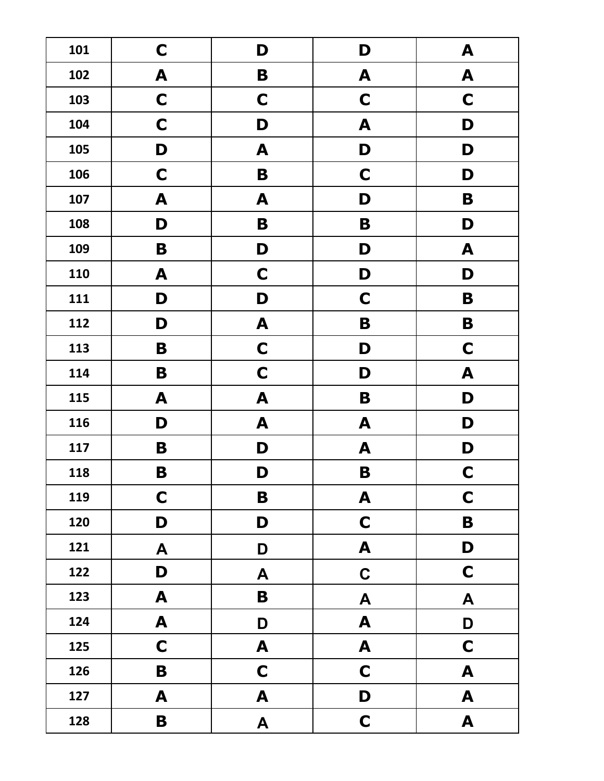| 101 | $\mathbf C$ | D                | D                | A                |
|-----|-------------|------------------|------------------|------------------|
| 102 | A           | B                | A                | $\blacktriangle$ |
| 103 | $\mathbf C$ | $\mathbf C$      | $\mathbf C$      | $\mathbf C$      |
| 104 | $\mathbf C$ | D                | A                | D                |
| 105 | D           | A                | D                | D                |
| 106 | $\mathbf C$ | B                | $\mathbf C$      | D                |
| 107 | A           | A                | D                | B                |
| 108 | D           | B                | B                | D                |
| 109 | $\mathbf B$ | D                | D                | A                |
| 110 | A           | $\mathbf C$      | D                | D                |
| 111 | D           | D                | $\mathbf C$      | B                |
| 112 | D           | A                | $\mathbf B$      | B                |
| 113 | $\mathbf B$ | $\mathbf C$      | D                | $\mathbf C$      |
| 114 | B           | $\mathbf C$      | D                | $\blacktriangle$ |
| 115 | A           | $\blacktriangle$ | B                | D                |
| 116 | D           | A                | A                | D                |
| 117 | B           | D                | A                | D                |
| 118 | B           | D                | $\mathbf B$      | $\mathbf C$      |
| 119 | $\mathbf C$ | $\mathbf B$      | A                | $\mathbf C$      |
| 120 | D           | D                | $\mathbf C$      | $\mathbf B$      |
| 121 | A           | D                | A                | D                |
| 122 | D           | A                | $\mathbf C$      | $\mathbf C$      |
| 123 | A           | B                | $\blacktriangle$ | A                |
| 124 | A           | D                | A                | D                |
| 125 | C           | A                | A                | $\mathbf C$      |
| 126 | B           | $\mathbf C$      | $\mathbf C$      | A                |
| 127 | A           | A                | D                | A                |
| 128 | B           | A                | $\mathbf C$      | A                |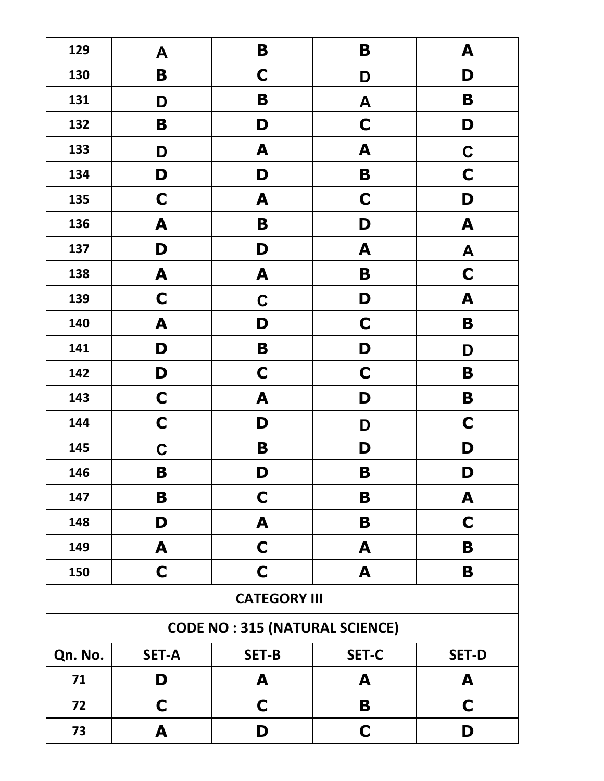| 129                                   | A                | $\mathbf B$  | B            | A                |  |
|---------------------------------------|------------------|--------------|--------------|------------------|--|
| 130                                   | $\mathbf B$      | $\mathbf C$  | D            | D                |  |
| 131                                   | D                | B            | A            | B                |  |
| 132                                   | $\mathbf B$      | D            | $\mathbf C$  | D                |  |
| 133                                   | D                | A            | A            | $\mathbf C$      |  |
| 134                                   | D                | D            | $\mathbf B$  | $\mathbf C$      |  |
| 135                                   | $\mathbf C$      | A            | $\mathbf C$  | D                |  |
| 136                                   | A                | B            | D            | $\boldsymbol{A}$ |  |
| 137                                   | D                | D            | A            | $\blacktriangle$ |  |
| 138                                   | A                | A            | B            | $\mathbf C$      |  |
| 139                                   | $\mathbf C$      | $\mathbf C$  | D            | A                |  |
| 140                                   | $\blacktriangle$ | D            | $\mathbf C$  | B                |  |
| 141                                   | D                | B            | D            | D                |  |
| 142                                   | D                | $\mathbf C$  | $\mathbf C$  | B                |  |
| 143                                   | $\mathbf C$      | A            | D            | B                |  |
| 144                                   | $\mathbf C$      | D            | D            | $\mathbf C$      |  |
| 145                                   | $\mathbf C$      | B            | D            | D                |  |
| 146                                   | $\mathbf B$      | D            | B            | D                |  |
| 147                                   | B                | $\mathbf C$  | B            | A                |  |
| 148                                   | D                | A            | B            | C                |  |
| 149                                   | A                | C            | A            | B                |  |
| 150                                   | C                | C            | A            | B                |  |
| <b>CATEGORY III</b>                   |                  |              |              |                  |  |
| <b>CODE NO: 315 (NATURAL SCIENCE)</b> |                  |              |              |                  |  |
| Qn. No.                               | <b>SET-A</b>     | <b>SET-B</b> | <b>SET-C</b> | <b>SET-D</b>     |  |
| 71                                    | D                | A            | A            | A                |  |
| 72                                    | C                | C            | B            | C                |  |
| 73                                    | A                | D            | C            | D                |  |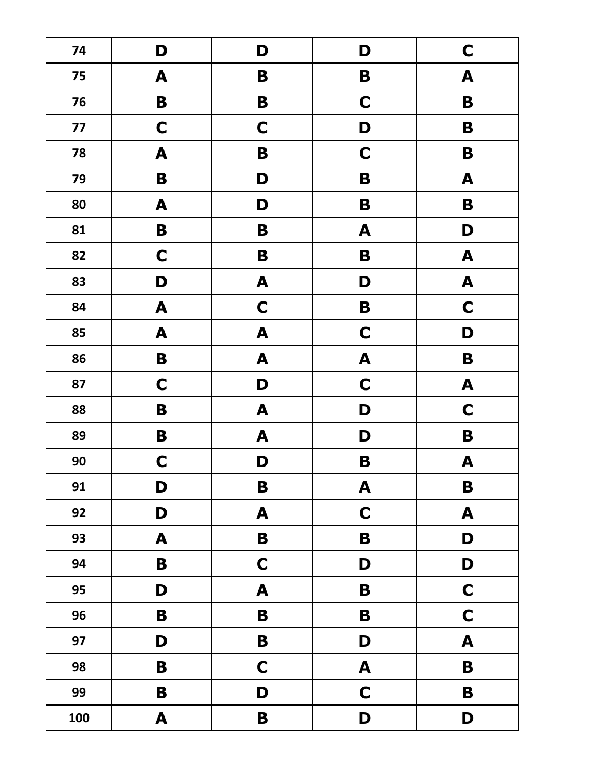| 74   | D                | D                | D                | $\mathbf C$      |
|------|------------------|------------------|------------------|------------------|
| 75   | A                | B                | B                | $\boldsymbol{A}$ |
| 76   | $\mathbf B$      | B                | $\mathbf C$      | $\mathbf B$      |
| $77$ | $\mathbf C$      | $\mathbf C$      | D                | B                |
| 78   | A                | $\mathbf B$      | $\mathbf C$      | $\mathbf B$      |
| 79   | $\mathbf B$      | D                | $\mathbf B$      | $\boldsymbol{A}$ |
| 80   | $\boldsymbol{A}$ | D                | B                | $\mathbf B$      |
| 81   | $\mathbf B$      | B                | A                | D                |
| 82   | $\mathbf C$      | B                | B                | $\boldsymbol{A}$ |
| 83   | D                | $\boldsymbol{A}$ | D                | $\mathbf{A}$     |
| 84   | A                | $\mathbf C$      | B                | $\mathbf C$      |
| 85   | $\boldsymbol{A}$ | $\boldsymbol{A}$ | $\mathbf C$      | D                |
| 86   | $\mathbf B$      | $\boldsymbol{A}$ | $\boldsymbol{A}$ | $\mathbf B$      |
| 87   | $\mathbf C$      | D                | $\mathbf C$      | $\boldsymbol{A}$ |
| 88   | B                | $\boldsymbol{A}$ | D                | $\mathbf C$      |
| 89   | B                | A                | D                | B                |
| 90   | $\mathbf C$      | D                | B                | A                |
| 91   | D                | B                | A                | B                |
| 92   | D                | A                | $\mathbf C$      | $\blacktriangle$ |
| 93   | A                | $\mathbf B$      | $\mathbf B$      | D                |
| 94   | $\mathbf B$      | $\mathbf C$      | D                | D                |
| 95   | D                | A                | B                | $\mathbf C$      |
| 96   | $\mathbf B$      | $\mathbf B$      | B                | $\mathbf C$      |
| 97   | D                | B                | D                | $\boldsymbol{A}$ |
| 98   | $\mathbf B$      | $\mathbf C$      | $\mathbf{A}$     | B                |
| 99   | $\mathbf B$      | D                | $\mathbf C$      | $\mathbf B$      |
| 100  | $\boldsymbol{A}$ | B                | D                | D                |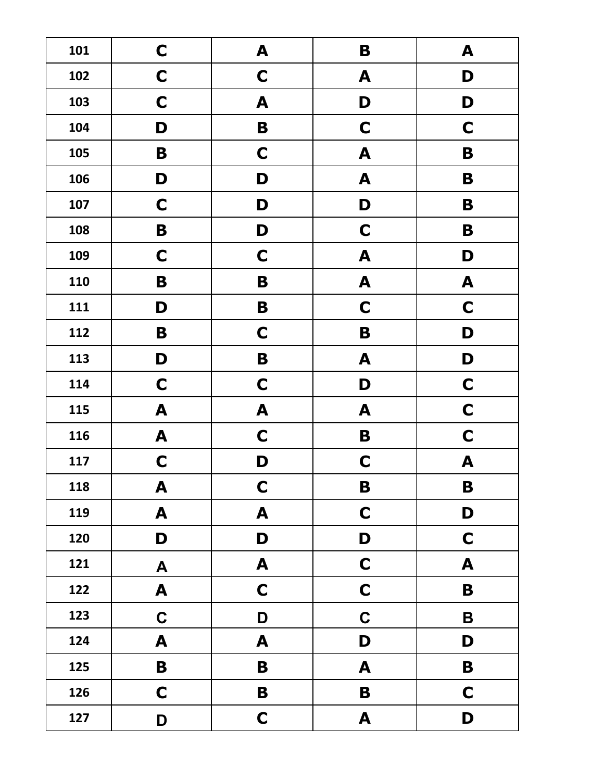| 101 | $\mathbf C$      | A                | $\mathbf B$      | A                         |
|-----|------------------|------------------|------------------|---------------------------|
| 102 | $\mathbf C$      | $\mathbf C$      | A                | D                         |
| 103 | $\mathbf C$      | A                | D                | D                         |
| 104 | D                | B                | $\mathbf C$      | $\mathbf C$               |
| 105 | $\mathbf B$      | $\mathbf C$      | $\boldsymbol{A}$ | B                         |
| 106 | D                | D                | A                | B                         |
| 107 | $\mathbf C$      | D                | D                | B                         |
| 108 | $\mathbf B$      | D                | $\mathbf C$      | $\mathbf B$               |
| 109 | $\mathbf C$      | $\mathbf C$      | $\blacktriangle$ | D                         |
| 110 | B                | B                | $\boldsymbol{A}$ | $\boldsymbol{\mathsf{A}}$ |
| 111 | D                | B                | $\mathbf C$      | $\mathbf C$               |
| 112 | $\mathbf B$      | $\mathbf C$      | $\mathbf B$      | D                         |
| 113 | D                | $\mathbf B$      | A                | D                         |
| 114 | $\mathbf C$      | $\mathbf C$      | D                | $\mathbf C$               |
| 115 | $\blacktriangle$ | $\blacktriangle$ | A                | $\mathbf C$               |
| 116 | A                | $\mathbf C$      | B                | $\mathbf C$               |
| 117 | $\mathbf C$      | D                | $\mathbf C$      | A                         |
| 118 | A                | $\mathbf C$      | B                | B                         |
| 119 | A                | A                | $\mathbf C$      | D                         |
| 120 | D                | D                | D                | $\mathbf C$               |
| 121 | A                | A                | $\mathbf C$      | A                         |
| 122 | A                | $\mathbf C$      | $\mathbf C$      | B                         |
| 123 | $\mathbf C$      | D                | $\mathbf C$      | $\mathbf B$               |
| 124 | $\boldsymbol{A}$ | A                | D                | D                         |
| 125 | B                | B                | A                | B                         |
| 126 | $\mathbf C$      | B                | $\mathbf B$      | $\mathbf C$               |
| 127 | D                | $\mathbf C$      | A                | D                         |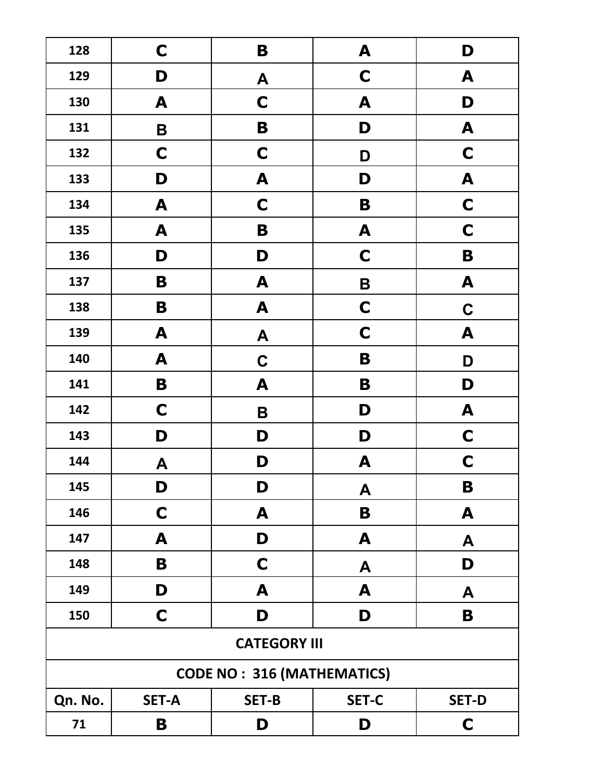| 128                               | $\mathbf C$      | B                | A            | D                |
|-----------------------------------|------------------|------------------|--------------|------------------|
| 129                               | D                | A                | $\mathbf C$  | A                |
| 130                               | A                | $\mathbf C$      | A            | D                |
| 131                               | $\mathbf B$      | B                | D            | $\boldsymbol{A}$ |
| 132                               | $\mathbf C$      | $\mathbf C$      | D            | $\mathbf C$      |
| 133                               | D                | A                | D            | $\blacktriangle$ |
| 134                               | A                | $\mathbf C$      | B            | $\mathbf C$      |
| 135                               | A                | B                | A            | $\mathbf C$      |
| 136                               | D                | D                | $\mathbf C$  | $\mathbf B$      |
| 137                               | B                | A                | $\mathsf B$  | A                |
| 138                               | B                | A                | $\mathbf C$  | $\mathbf C$      |
| 139                               | A                | $\boldsymbol{A}$ | $\mathbf C$  | A                |
| 140                               | A                | $\mathbf C$      | B            | D                |
| 141                               | $\mathbf B$      | A                | B            | D                |
| 142                               | $\mathbf C$      | B                | D            | A                |
| 143                               | D                | D                | D            | $\mathbf C$      |
| 144                               | $\boldsymbol{A}$ | D                | A            | $\mathbf C$      |
| 145                               | D                | D                | A            | B                |
| 146                               | C                | A                | B            | A                |
| 147                               | A                | D                | A            | A                |
| 148                               | B                | C                | A            | D                |
| 149                               | D                | A                | A            | A                |
| 150                               | C                | D                | D            | B                |
| <b>CATEGORY III</b>               |                  |                  |              |                  |
| <b>CODE NO: 316 (MATHEMATICS)</b> |                  |                  |              |                  |
| Qn. No.                           | <b>SET-A</b>     | <b>SET-B</b>     | <b>SET-C</b> | <b>SET-D</b>     |
| 71                                | B                | D                | D            | C                |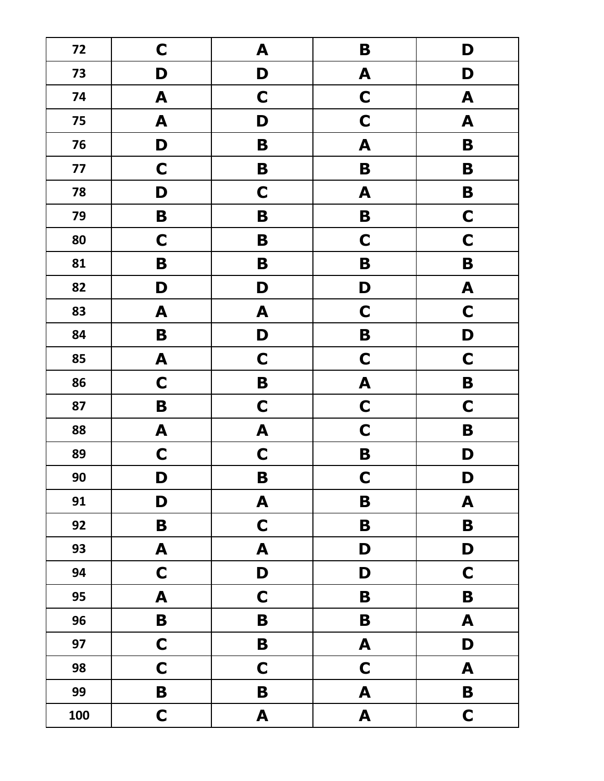| 72  | $\mathbf C$             | A                         | B                | D                |
|-----|-------------------------|---------------------------|------------------|------------------|
| 73  | D                       | D                         | A                | D                |
| 74  | $\boldsymbol{A}$        | $\mathbf C$               | $\mathbf C$      | $\boldsymbol{A}$ |
| 75  | $\boldsymbol{A}$        | D                         | $\mathbf C$      | $\boldsymbol{A}$ |
| 76  | D                       | B                         | $\boldsymbol{A}$ | $\mathbf B$      |
| 77  | $\mathbf C$             | B                         | $\mathbf B$      | B                |
| 78  | D                       | $\mathbf C$               | A                | B                |
| 79  | $\mathbf B$             | $\mathbf B$               | $\mathbf B$      | $\mathbf C$      |
| 80  | $\mathbf C$             | B                         | $\mathbf C$      | $\mathbf C$      |
| 81  | $\mathbf B$             | B                         | $\mathbf B$      | $\mathbf B$      |
| 82  | D                       | D                         | D                | A                |
| 83  | $\boldsymbol{A}$        | A                         | $\mathbf C$      | $\mathbf C$      |
| 84  | B                       | D                         | $\mathbf B$      | D                |
| 85  | A                       | $\mathbf C$               | $\mathbf C$      | $\mathbf C$      |
| 86  | $\mathbf C$             | B                         | A                | B                |
| 87  | B                       | $\mathbf C$               | $\mathbf C$      | $\mathbf C$      |
| 88  | A                       | $\boldsymbol{\mathsf{A}}$ | $\mathbf C$      | B                |
| 89  | $\mathbf C$             | $\mathbf C$               | B                | D                |
| 90  | D                       | B                         | $\mathbf C$      | D                |
| 91  | D                       | $\boldsymbol{\mathsf{A}}$ | B                | A                |
| 92  | $\mathbf B$             | $\mathbf C$               | $\mathbf B$      | $\mathbf B$      |
| 93  | $\pmb{\mathsf{A}}$      | $\mathbf{A}$              | D                | D                |
| 94  | $\mathbf C$             | D                         | D                | $\mathbf C$      |
| 95  | $\boldsymbol{A}$        | $\mathbf C$               | B                | $\mathbf B$      |
| 96  | $\mathbf B$             | $\mathbf B$               | $\mathbf B$      | $\mathbf{A}$     |
| 97  | $\mathbf C$             | $\mathbf B$               | $\boldsymbol{A}$ | D                |
| 98  | $\mathbf C$             | $\mathbf C$               | $\mathbf C$      | $\boldsymbol{A}$ |
| 99  | $\overline{\mathbf{B}}$ | $\mathbf B$               | $\mathbf{A}$     | $\mathbf B$      |
| 100 | $\mathsf{C}$            | $\boldsymbol{A}$          | $\mathbf{A}$     | $\mathbf C$      |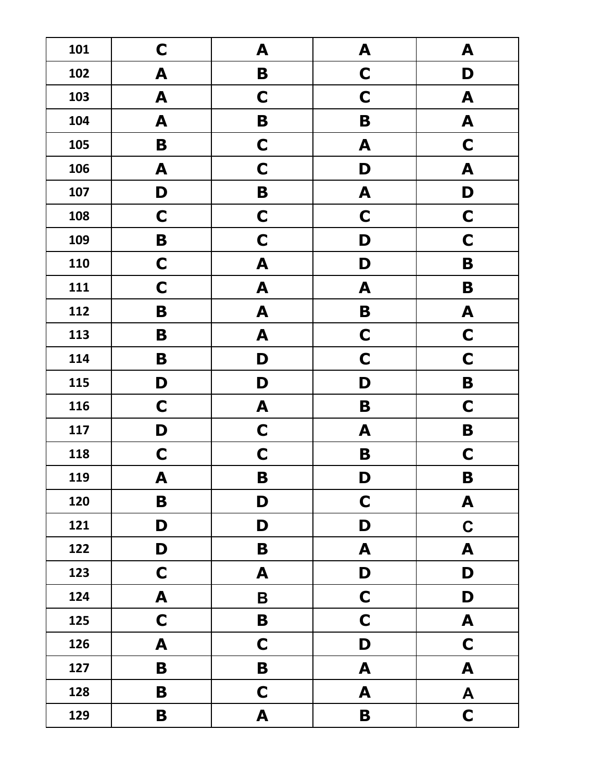| 101 | $\mathbf C$        | A                | A                | A                         |
|-----|--------------------|------------------|------------------|---------------------------|
| 102 | A                  | B                | C                | D                         |
| 103 | A                  | $\mathbf C$      | $\mathbf C$      | A                         |
| 104 | A                  | B                | B                | A                         |
| 105 | B                  | $\mathbf C$      | A                | $\mathbf C$               |
| 106 | A                  | $\mathbf C$      | D                | A                         |
| 107 | D                  | B                | A                | D                         |
| 108 | $\mathbf C$        | $\mathbf C$      | $\mathbf C$      | $\mathbf C$               |
| 109 | $\mathbf B$        | $\mathbf C$      | D                | $\mathbf C$               |
| 110 | $\mathbf C$        | $\boldsymbol{A}$ | D                | $\mathbf B$               |
| 111 | $\mathbf C$        | A                | A                | $\mathbf B$               |
| 112 | B                  | A                | B                | A                         |
| 113 | B                  | A                | $\mathbf C$      | $\mathbf C$               |
| 114 | B                  | D                | $\mathbf C$      | $\mathbf C$               |
| 115 | D                  | D                | D                | $\mathbf B$               |
| 116 | $\mathbf C$        | A                | B                | $\mathbf C$               |
| 117 | D                  | $\mathbf C$      | A                | B                         |
| 118 | $\mathbf C$        | $\mathbf C$      | B                | $\mathbf C$               |
| 119 | A                  | B                | D                | B                         |
| 120 | B                  | D                | $\mathbf C$      | A                         |
| 121 | D                  | D                | D                | $\mathbf C$               |
| 122 | D                  | B                | A                | A                         |
| 123 | $\mathbf C$        | A                | D                | D                         |
| 124 | $\pmb{\mathsf{A}}$ | $\mathbf B$      | $\mathbf C$      | D                         |
| 125 | $\mathbf C$        | B                | $\mathbf C$      | A                         |
| 126 | A                  | $\mathbf C$      | D                | $\mathbf C$               |
| 127 | $\mathbf B$        | B                | A                | $\boldsymbol{\mathsf{A}}$ |
| 128 | B                  | $\mathbf C$      | $\boldsymbol{A}$ | $\boldsymbol{A}$          |
| 129 | B                  | $\boldsymbol{A}$ | $\mathbf B$      | $\mathbf C$               |